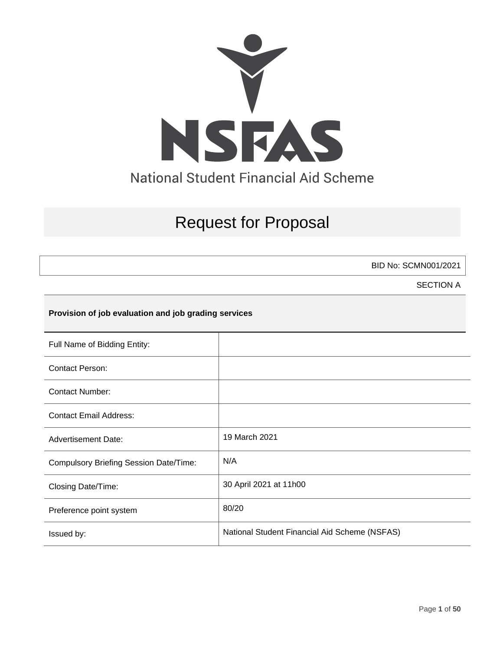

# Request for Proposal

BID No: SCMN001/2021

SECTION A

### **Provision of job evaluation and job grading services**

| Full Name of Bidding Entity:                  |                                               |
|-----------------------------------------------|-----------------------------------------------|
| <b>Contact Person:</b>                        |                                               |
| Contact Number:                               |                                               |
| <b>Contact Email Address:</b>                 |                                               |
| <b>Advertisement Date:</b>                    | 19 March 2021                                 |
| <b>Compulsory Briefing Session Date/Time:</b> | N/A                                           |
| Closing Date/Time:                            | 30 April 2021 at 11h00                        |
| Preference point system                       | 80/20                                         |
| Issued by:                                    | National Student Financial Aid Scheme (NSFAS) |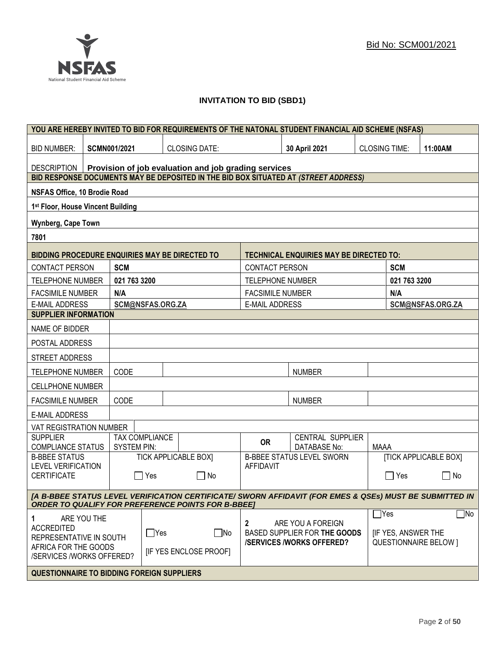

### **INVITATION TO BID (SBD1)**

|                                                   |                                                                                                                                                                      |                    |                  |                                                      |                         | YOU ARE HEREBY INVITED TO BID FOR REQUIREMENTS OF THE NATONAL STUDENT FINANCIAL AID SCHEME (NSFAS) |                      |                           |                              |
|---------------------------------------------------|----------------------------------------------------------------------------------------------------------------------------------------------------------------------|--------------------|------------------|------------------------------------------------------|-------------------------|----------------------------------------------------------------------------------------------------|----------------------|---------------------------|------------------------------|
| <b>BID NUMBER:</b>                                |                                                                                                                                                                      | SCMN001/2021       |                  | <b>CLOSING DATE:</b>                                 |                         | 30 April 2021                                                                                      | <b>CLOSING TIME:</b> |                           | 11:00AM                      |
| <b>DESCRIPTION</b>                                |                                                                                                                                                                      |                    |                  | Provision of job evaluation and job grading services |                         |                                                                                                    |                      |                           |                              |
|                                                   |                                                                                                                                                                      |                    |                  |                                                      |                         | BID RESPONSE DOCUMENTS MAY BE DEPOSITED IN THE BID BOX SITUATED AT (STREET ADDRESS)                |                      |                           |                              |
| <b>NSFAS Office, 10 Brodie Road</b>               |                                                                                                                                                                      |                    |                  |                                                      |                         |                                                                                                    |                      |                           |                              |
| 1st Floor, House Vincent Building                 |                                                                                                                                                                      |                    |                  |                                                      |                         |                                                                                                    |                      |                           |                              |
| <b>Wynberg, Cape Town</b>                         |                                                                                                                                                                      |                    |                  |                                                      |                         |                                                                                                    |                      |                           |                              |
| 7801                                              |                                                                                                                                                                      |                    |                  |                                                      |                         |                                                                                                    |                      |                           |                              |
| BIDDING PROCEDURE ENQUIRIES MAY BE DIRECTED TO    |                                                                                                                                                                      |                    |                  |                                                      |                         | <b>TECHNICAL ENQUIRIES MAY BE DIRECTED TO:</b>                                                     |                      |                           |                              |
| <b>CONTACT PERSON</b>                             |                                                                                                                                                                      | <b>SCM</b>         |                  |                                                      | <b>CONTACT PERSON</b>   |                                                                                                    |                      | <b>SCM</b>                |                              |
| <b>TELEPHONE NUMBER</b>                           |                                                                                                                                                                      | 021 763 3200       |                  |                                                      | <b>TELEPHONE NUMBER</b> |                                                                                                    |                      | 021 763 3200              |                              |
| <b>FACSIMILE NUMBER</b>                           |                                                                                                                                                                      | N/A                |                  |                                                      | <b>FACSIMILE NUMBER</b> |                                                                                                    |                      | N/A                       |                              |
| <b>E-MAIL ADDRESS</b>                             |                                                                                                                                                                      |                    | SCM@NSFAS.ORG.ZA |                                                      | <b>E-MAIL ADDRESS</b>   |                                                                                                    |                      |                           | SCM@NSFAS.ORG.ZA             |
| <b>SUPPLIER INFORMATION</b>                       |                                                                                                                                                                      |                    |                  |                                                      |                         |                                                                                                    |                      |                           |                              |
| NAME OF BIDDER                                    |                                                                                                                                                                      |                    |                  |                                                      |                         |                                                                                                    |                      |                           |                              |
| POSTAL ADDRESS                                    |                                                                                                                                                                      |                    |                  |                                                      |                         |                                                                                                    |                      |                           |                              |
| STREET ADDRESS                                    |                                                                                                                                                                      |                    |                  |                                                      |                         |                                                                                                    |                      |                           |                              |
| <b>TELEPHONE NUMBER</b>                           |                                                                                                                                                                      | CODE               |                  |                                                      |                         | <b>NUMBER</b>                                                                                      |                      |                           |                              |
| <b>CELLPHONE NUMBER</b>                           |                                                                                                                                                                      |                    |                  |                                                      |                         |                                                                                                    |                      |                           |                              |
| <b>FACSIMILE NUMBER</b>                           |                                                                                                                                                                      | CODE               |                  |                                                      |                         | <b>NUMBER</b>                                                                                      |                      |                           |                              |
| <b>E-MAIL ADDRESS</b>                             |                                                                                                                                                                      |                    |                  |                                                      |                         |                                                                                                    |                      |                           |                              |
| VAT REGISTRATION NUMBER                           |                                                                                                                                                                      |                    |                  |                                                      |                         |                                                                                                    |                      |                           |                              |
| <b>SUPPLIER</b><br><b>COMPLIANCE STATUS</b>       |                                                                                                                                                                      | <b>SYSTEM PIN:</b> | TAX COMPLIANCE   |                                                      | <b>OR</b>               | CENTRAL SUPPLIER<br><b>DATABASE No:</b>                                                            | <b>MAAA</b>          |                           |                              |
| <b>B-BBEE STATUS</b>                              |                                                                                                                                                                      |                    |                  | <b>TICK APPLICABLE BOX]</b>                          |                         | <b>B-BBEE STATUS LEVEL SWORN</b>                                                                   |                      |                           | <b>[TICK APPLICABLE BOX]</b> |
| <b>LEVEL VERIFICATION</b><br><b>CERTIFICATE</b>   |                                                                                                                                                                      | $\mathbf{I}$       | Yes              | $\Box$ No                                            | <b>AFFIDAVIT</b>        |                                                                                                    |                      | $\Box$ Yes                | $\mathsf{L}$<br>No           |
|                                                   | [A B-BBEE STATUS LEVEL VERIFICATION CERTIFICATE/ SWORN AFFIDAVIT (FOR EMES & QSEs) MUST BE SUBMITTED IN<br><b>ORDER TO QUALIFY FOR PREFERENCE POINTS FOR B-BBEET</b> |                    |                  |                                                      |                         |                                                                                                    |                      |                           |                              |
|                                                   |                                                                                                                                                                      |                    |                  |                                                      |                         |                                                                                                    | $\Box$ Yes           |                           | $\Box$ No                    |
| 1<br><b>ACCREDITED</b><br>REPRESENTATIVE IN SOUTH | ARE YOU THE                                                                                                                                                          |                    | $\Box$ Yes       | $\Box$ No                                            | 2                       | ARE YOU A FOREIGN<br>BASED SUPPLIER FOR THE GOODS<br><b>/SERVICES/WORKS OFFERED?</b>               |                      | <b>IF YES, ANSWER THE</b> | <b>QUESTIONNAIRE BELOW 1</b> |
| AFRICA FOR THE GOODS<br>/SERVICES /WORKS OFFERED? |                                                                                                                                                                      |                    |                  | <b>IF YES ENCLOSE PROOFI</b>                         |                         |                                                                                                    |                      |                           |                              |
| <b>QUESTIONNAIRE TO BIDDING FOREIGN SUPPLIERS</b> |                                                                                                                                                                      |                    |                  |                                                      |                         |                                                                                                    |                      |                           |                              |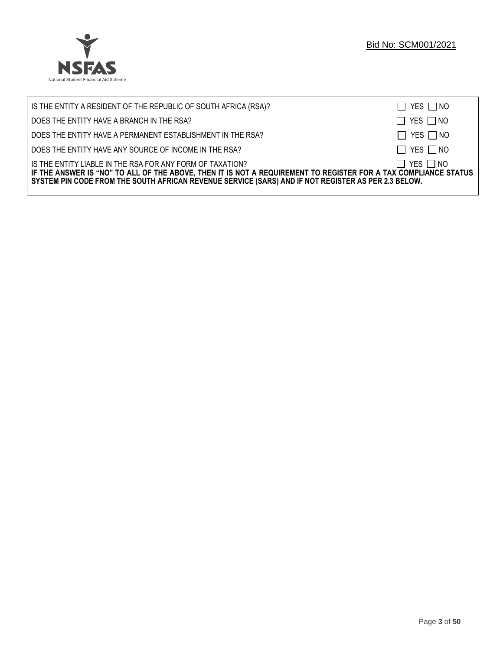

| IS THE ENTITY A RESIDENT OF THE REPUBLIC OF SOUTH AFRICA (RSA)?                                                                                                                                                                                                                     | $\Box$ YES $\Box$ NO |
|-------------------------------------------------------------------------------------------------------------------------------------------------------------------------------------------------------------------------------------------------------------------------------------|----------------------|
| DOES THE ENTITY HAVE A BRANCH IN THE RSA?                                                                                                                                                                                                                                           | $\Box$ YES $\Box$ NO |
| DOES THE ENTITY HAVE A PERMANENT ESTABLISHMENT IN THE RSA?                                                                                                                                                                                                                          | $\Box$ YES $\Box$ NO |
| DOES THE ENTITY HAVE ANY SOURCE OF INCOME IN THE RSA?                                                                                                                                                                                                                               | $\Box$ YES $\Box$ NO |
| IS THE ENTITY LIABLE IN THE RSA FOR ANY FORM OF TAXATION?<br>IF THE ANSWER IS "NO" TO ALL OF THE ABOVE, THEN IT IS NOT A REQUIREMENT TO REGISTER FOR A TAX COMPLIANCE STATUS<br>SYSTEM PIN CODE FROM THE SOUTH AFRICAN REVENUE SERVICE (SARS) AND IF NOT REGISTER AS PER 2.3 BELOW. | $\Box$ YES $\Box$ NO |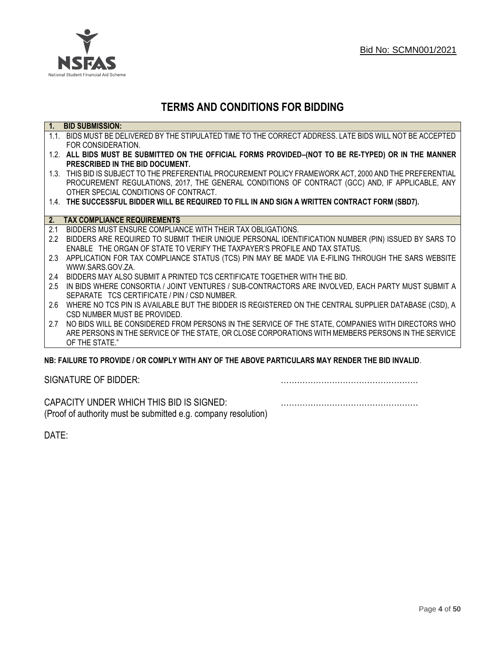

## **TERMS AND CONDITIONS FOR BIDDING**

| $\overline{1}$ . | <b>BID SUBMISSION:</b>                                                                                    |
|------------------|-----------------------------------------------------------------------------------------------------------|
|                  | 1.1. BIDS MUST BE DELIVERED BY THE STIPULATED TIME TO THE CORRECT ADDRESS. LATE BIDS WILL NOT BE ACCEPTED |
|                  | FOR CONSIDERATION.                                                                                        |
|                  | 1.2. ALL BIDS MUST BE SUBMITTED ON THE OFFICIAL FORMS PROVIDED-(NOT TO BE RE-TYPED) OR IN THE MANNER      |
|                  | PRESCRIBED IN THE BID DOCUMENT.                                                                           |
|                  | 1.3. THIS BID IS SUBJECT TO THE PREFERENTIAL PROCUREMENT POLICY FRAMEWORK ACT, 2000 AND THE PREFERENTIAL  |
|                  | PROCUREMENT REGULATIONS, 2017, THE GENERAL CONDITIONS OF CONTRACT (GCC) AND, IF APPLICABLE, ANY           |
|                  | OTHER SPECIAL CONDITIONS OF CONTRACT.                                                                     |
|                  | 1.4. THE SUCCESSFUL BIDDER WILL BE REQUIRED TO FILL IN AND SIGN A WRITTEN CONTRACT FORM (SBD7).           |
|                  |                                                                                                           |
|                  | 2. TAX COMPLIANCE REQUIREMENTS                                                                            |
| 2.1              | BIDDERS MUST ENSURE COMPLIANCE WITH THEIR TAX OBLIGATIONS.                                                |
| $2.2^{\circ}$    | BIDDERS ARE REQUIRED TO SUBMIT THEIR UNIQUE PERSONAL IDENTIFICATION NUMBER (PIN) ISSUED BY SARS TO        |
|                  | ENABLE THE ORGAN OF STATE TO VERIFY THE TAXPAYER'S PROFILE AND TAX STATUS.                                |
| 2.3              | APPLICATION FOR TAX COMPLIANCE STATUS (TCS) PIN MAY BE MADE VIA E-FILING THROUGH THE SARS WEBSITE         |
|                  | WWW.SARS.GOV.ZA.                                                                                          |
| 2.4              | BIDDERS MAY ALSO SUBMIT A PRINTED TCS CERTIFICATE TOGETHER WITH THE BID.                                  |
| 2.5              | IN BIDS WHERE CONSORTIA / JOINT VENTURES / SUB-CONTRACTORS ARE INVOLVED, EACH PARTY MUST SUBMIT A         |
|                  | SEPARATE TCS CERTIFICATE / PIN / CSD NUMBER.                                                              |
| 2.6              | WHERE NO TCS PIN IS AVAILABLE BUT THE BIDDER IS REGISTERED ON THE CENTRAL SUPPLIER DATABASE (CSD), A      |
|                  | CSD NUMBER MUST BE PROVIDED.                                                                              |
| 2.7              | NO BIDS WILL BE CONSIDERED FROM PERSONS IN THE SERVICE OF THE STATE, COMPANIES WITH DIRECTORS WHO         |
|                  | ARE PERSONS IN THE SERVICE OF THE STATE, OR CLOSE CORPORATIONS WITH MEMBERS PERSONS IN THE SERVICE        |
|                  | OF THE STATE."                                                                                            |
|                  | ND. EAILHDE TÓ DDÓVIDE LÓD CÓMDLV WITH ANY ÓE THE ADÓVE DADTICHLADO MAY DENDED THE DID INVALID.           |

### **NB: FAILURE TO PROVIDE / OR COMPLY WITH ANY OF THE ABOVE PARTICULARS MAY RENDER THE BID INVALID**.

|  | SIGNATURE OF BIDDER: |
|--|----------------------|
|--|----------------------|

SIGNATURE OF BIDDER: ……………………………………………

CAPACITY UNDER WHICH THIS BID IS SIGNED: …………………………………………… (Proof of authority must be submitted e.g. company resolution)

DATE: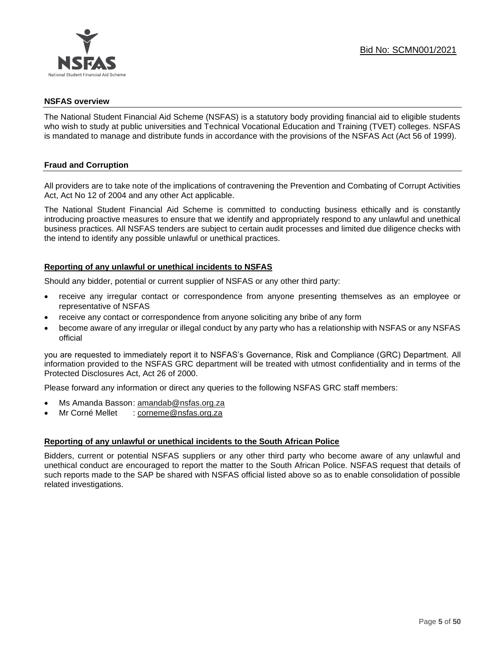

### **NSFAS overview**

The National Student Financial Aid Scheme (NSFAS) is a statutory body providing financial aid to eligible students who wish to study at public universities and Technical Vocational Education and Training (TVET) colleges. NSFAS is mandated to manage and distribute funds in accordance with the provisions of the NSFAS Act (Act 56 of 1999).

### **Fraud and Corruption**

All providers are to take note of the implications of contravening the Prevention and Combating of Corrupt Activities Act, Act No 12 of 2004 and any other Act applicable.

The National Student Financial Aid Scheme is committed to conducting business ethically and is constantly introducing proactive measures to ensure that we identify and appropriately respond to any unlawful and unethical business practices. All NSFAS tenders are subject to certain audit processes and limited due diligence checks with the intend to identify any possible unlawful or unethical practices.

### **Reporting of any unlawful or unethical incidents to NSFAS**

Should any bidder, potential or current supplier of NSFAS or any other third party:

- receive any irregular contact or correspondence from anyone presenting themselves as an employee or representative of NSFAS
- receive any contact or correspondence from anyone soliciting any bribe of any form
- become aware of any irregular or illegal conduct by any party who has a relationship with NSFAS or any NSFAS official

you are requested to immediately report it to NSFAS's Governance, Risk and Compliance (GRC) Department. All information provided to the NSFAS GRC department will be treated with utmost confidentiality and in terms of the Protected Disclosures Act, Act 26 of 2000.

Please forward any information or direct any queries to the following NSFAS GRC staff members:

- Ms Amanda Basson: [amandab@nsfas.org.za](mailto:amandab@nsfas.org.za)
- Mr Corné Mellet : [corneme@nsfas.org.za](mailto:corneme@nsfas.org.za)

### **Reporting of any unlawful or unethical incidents to the South African Police**

Bidders, current or potential NSFAS suppliers or any other third party who become aware of any unlawful and unethical conduct are encouraged to report the matter to the South African Police. NSFAS request that details of such reports made to the SAP be shared with NSFAS official listed above so as to enable consolidation of possible related investigations.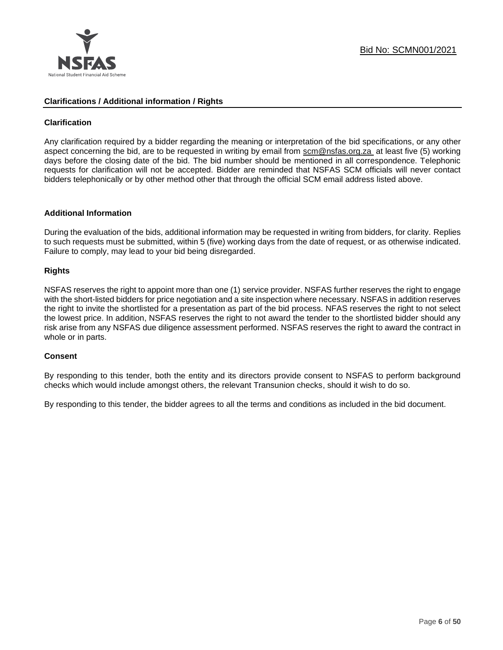

### **Clarifications / Additional information / Rights**

### **Clarification**

Any clarification required by a bidder regarding the meaning or interpretation of the bid specifications, or any other aspect concerning the bid, are to be requested in writing by email from [scm@nsfas.org.za](mailto:scm@nsfas.org.za) at least five (5) working days before the closing date of the bid. The bid number should be mentioned in all correspondence. Telephonic requests for clarification will not be accepted. Bidder are reminded that NSFAS SCM officials will never contact bidders telephonically or by other method other that through the official SCM email address listed above.

### **Additional Information**

During the evaluation of the bids, additional information may be requested in writing from bidders, for clarity. Replies to such requests must be submitted, within 5 (five) working days from the date of request, or as otherwise indicated. Failure to comply, may lead to your bid being disregarded.

### **Rights**

NSFAS reserves the right to appoint more than one (1) service provider. NSFAS further reserves the right to engage with the short-listed bidders for price negotiation and a site inspection where necessary. NSFAS in addition reserves the right to invite the shortlisted for a presentation as part of the bid process. NFAS reserves the right to not select the lowest price. In addition, NSFAS reserves the right to not award the tender to the shortlisted bidder should any risk arise from any NSFAS due diligence assessment performed. NSFAS reserves the right to award the contract in whole or in parts.

### **Consent**

By responding to this tender, both the entity and its directors provide consent to NSFAS to perform background checks which would include amongst others, the relevant Transunion checks, should it wish to do so.

By responding to this tender, the bidder agrees to all the terms and conditions as included in the bid document.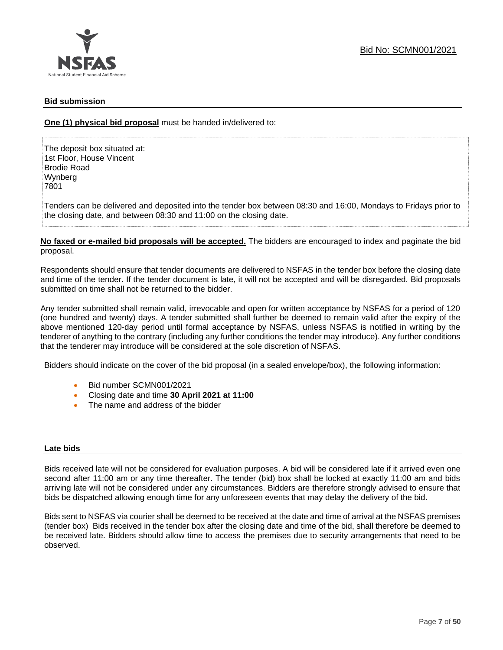### **Bid submission**

**One (1) physical bid proposal** must be handed in/delivered to:

The deposit box situated at: 1st Floor, House Vincent Brodie Road Wynberg 7801

Tenders can be delivered and deposited into the tender box between 08:30 and 16:00, Mondays to Fridays prior to the closing date, and between 08:30 and 11:00 on the closing date.

**No faxed or e-mailed bid proposals will be accepted.** The bidders are encouraged to index and paginate the bid proposal.

Respondents should ensure that tender documents are delivered to NSFAS in the tender box before the closing date and time of the tender. If the tender document is late, it will not be accepted and will be disregarded. Bid proposals submitted on time shall not be returned to the bidder.

Any tender submitted shall remain valid, irrevocable and open for written acceptance by NSFAS for a period of 120 (one hundred and twenty) days. A tender submitted shall further be deemed to remain valid after the expiry of the above mentioned 120-day period until formal acceptance by NSFAS, unless NSFAS is notified in writing by the tenderer of anything to the contrary (including any further conditions the tender may introduce). Any further conditions that the tenderer may introduce will be considered at the sole discretion of NSFAS.

Bidders should indicate on the cover of the bid proposal (in a sealed envelope/box), the following information:

- Bid number SCMN001/2021
- Closing date and time **30 April 2021 at 11:00**
- The name and address of the bidder

### **Late bids**

Bids received late will not be considered for evaluation purposes. A bid will be considered late if it arrived even one second after 11:00 am or any time thereafter. The tender (bid) box shall be locked at exactly 11:00 am and bids arriving late will not be considered under any circumstances. Bidders are therefore strongly advised to ensure that bids be dispatched allowing enough time for any unforeseen events that may delay the delivery of the bid.

Bids sent to NSFAS via courier shall be deemed to be received at the date and time of arrival at the NSFAS premises (tender box) Bids received in the tender box after the closing date and time of the bid, shall therefore be deemed to be received late. Bidders should allow time to access the premises due to security arrangements that need to be observed.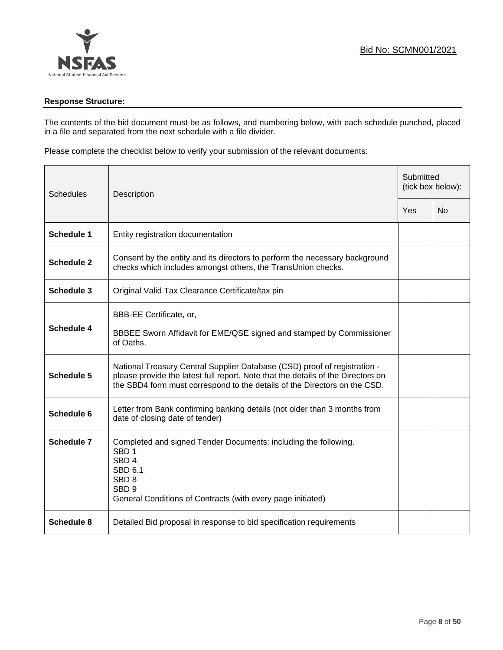

### **Response Structure:**

The contents of the bid document must be as follows, and numbering below, with each schedule punched, placed in a file and separated from the next schedule with a file divider.

Please complete the checklist below to verify your submission of the relevant documents:

| <b>Schedules</b>  | Description<br>Yes                                                                                                                                                                                                                         |  | Submitted<br>(tick box below): |  |
|-------------------|--------------------------------------------------------------------------------------------------------------------------------------------------------------------------------------------------------------------------------------------|--|--------------------------------|--|
|                   |                                                                                                                                                                                                                                            |  | No                             |  |
| <b>Schedule 1</b> | Entity registration documentation                                                                                                                                                                                                          |  |                                |  |
| <b>Schedule 2</b> | Consent by the entity and its directors to perform the necessary background<br>checks which includes amongst others, the TransUnion checks.                                                                                                |  |                                |  |
| Schedule 3        | Original Valid Tax Clearance Certificate/tax pin                                                                                                                                                                                           |  |                                |  |
| Schedule 4        | BBB-EE Certificate, or,<br>BBBEE Sworn Affidavit for EME/QSE signed and stamped by Commissioner<br>of Oaths.                                                                                                                               |  |                                |  |
| <b>Schedule 5</b> | National Treasury Central Supplier Database (CSD) proof of registration -<br>please provide the latest full report. Note that the details of the Directors on<br>the SBD4 form must correspond to the details of the Directors on the CSD. |  |                                |  |
| Schedule 6        | Letter from Bank confirming banking details (not older than 3 months from<br>date of closing date of tender)                                                                                                                               |  |                                |  |
| Schedule 7        | Completed and signed Tender Documents: including the following.<br>SBD <sub>1</sub><br>SBD <sub>4</sub><br><b>SBD 6.1</b><br>SBD <sub>8</sub><br>SBD <sub>9</sub><br>General Conditions of Contracts (with every page initiated)           |  |                                |  |
| <b>Schedule 8</b> | Detailed Bid proposal in response to bid specification requirements                                                                                                                                                                        |  |                                |  |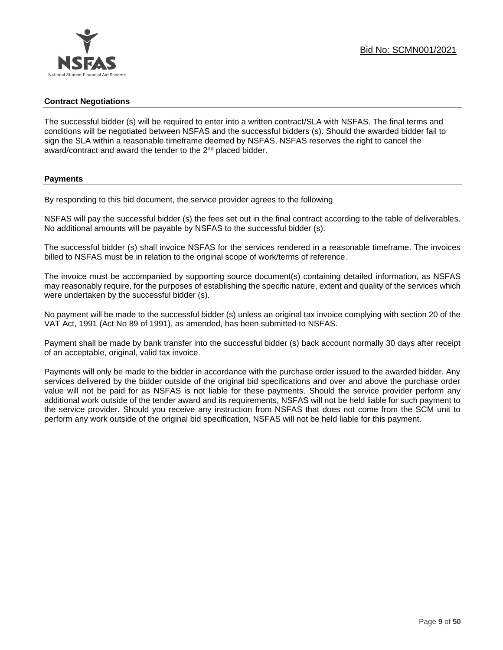### **Contract Negotiations**

The successful bidder (s) will be required to enter into a written contract/SLA with NSFAS. The final terms and conditions will be negotiated between NSFAS and the successful bidders (s). Should the awarded bidder fail to sign the SLA within a reasonable timeframe deemed by NSFAS, NSFAS reserves the right to cancel the award/contract and award the tender to the 2<sup>nd</sup> placed bidder.

### **Payments**

By responding to this bid document, the service provider agrees to the following

NSFAS will pay the successful bidder (s) the fees set out in the final contract according to the table of deliverables. No additional amounts will be payable by NSFAS to the successful bidder (s).

The successful bidder (s) shall invoice NSFAS for the services rendered in a reasonable timeframe. The invoices billed to NSFAS must be in relation to the original scope of work/terms of reference.

The invoice must be accompanied by supporting source document(s) containing detailed information, as NSFAS may reasonably require, for the purposes of establishing the specific nature, extent and quality of the services which were undertaken by the successful bidder (s).

No payment will be made to the successful bidder (s) unless an original tax invoice complying with section 20 of the VAT Act, 1991 (Act No 89 of 1991), as amended, has been submitted to NSFAS.

Payment shall be made by bank transfer into the successful bidder (s) back account normally 30 days after receipt of an acceptable, original, valid tax invoice.

Payments will only be made to the bidder in accordance with the purchase order issued to the awarded bidder. Any services delivered by the bidder outside of the original bid specifications and over and above the purchase order value will not be paid for as NSFAS is not liable for these payments. Should the service provider perform any additional work outside of the tender award and its requirements, NSFAS will not be held liable for such payment to the service provider. Should you receive any instruction from NSFAS that does not come from the SCM unit to perform any work outside of the original bid specification, NSFAS will not be held liable for this payment.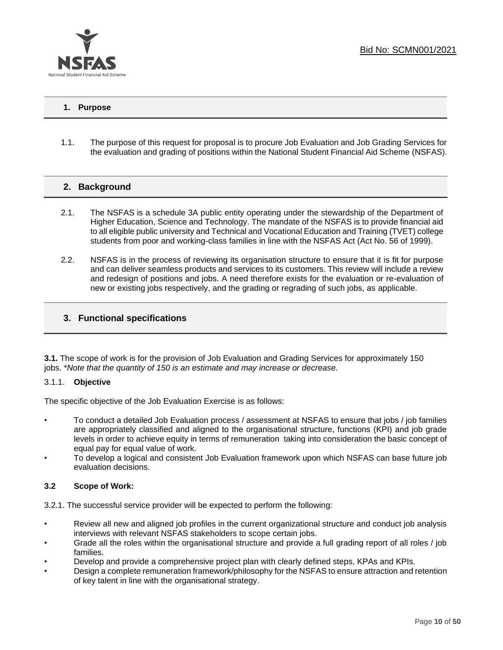

### **1. Purpose**

1.1. The purpose of this request for proposal is to procure Job Evaluation and Job Grading Services for the evaluation and grading of positions within the National Student Financial Aid Scheme (NSFAS).

### **2. Background**

- 2.1. The NSFAS is a schedule 3A public entity operating under the stewardship of the Department of Higher Education, Science and Technology. The mandate of the NSFAS is to provide financial aid to all eligible public university and Technical and Vocational Education and Training (TVET) college students from poor and working-class families in line with the NSFAS Act (Act No. 56 of 1999).
- 2.2. NSFAS is in the process of reviewing its organisation structure to ensure that it is fit for purpose and can deliver seamless products and services to its customers. This review will include a review and redesign of positions and jobs. A need therefore exists for the evaluation or re-evaluation of new or existing jobs respectively, and the grading or regrading of such jobs, as applicable.

### **3. Functional specifications**

**3.1.** The scope of work is for the provision of Job Evaluation and Grading Services for approximately 150 jobs. \**Note that the quantity of 150 is an estimate and may increase or decrease.*

### 3.1.1. **Objective**

The specific objective of the Job Evaluation Exercise is as follows:

- To conduct a detailed Job Evaluation process / assessment at NSFAS to ensure that jobs / job families are appropriately classified and aligned to the organisational structure, functions (KPI) and job grade levels in order to achieve equity in terms of remuneration taking into consideration the basic concept of equal pay for equal value of work.
- To develop a logical and consistent Job Evaluation framework upon which NSFAS can base future job evaluation decisions.

### **3.2 Scope of Work:**

3.2.1. The successful service provider will be expected to perform the following:

- Review all new and aligned job profiles in the current organizational structure and conduct job analysis interviews with relevant NSFAS stakeholders to scope certain jobs.
- Grade all the roles within the organisational structure and provide a full grading report of all roles / job families.
- Develop and provide a comprehensive project plan with clearly defined steps, KPAs and KPIs.
- Design a complete remuneration framework/philosophy for the NSFAS to ensure attraction and retention of key talent in line with the organisational strategy.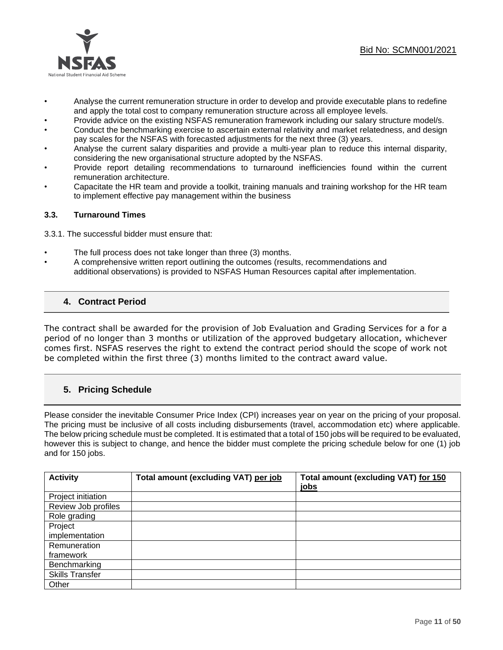

- Analyse the current remuneration structure in order to develop and provide executable plans to redefine and apply the total cost to company remuneration structure across all employee levels.
- Provide advice on the existing NSFAS remuneration framework including our salary structure model/s.
- Conduct the benchmarking exercise to ascertain external relativity and market relatedness, and design pay scales for the NSFAS with forecasted adjustments for the next three (3) years.
- Analyse the current salary disparities and provide a multi‐year plan to reduce this internal disparity, considering the new organisational structure adopted by the NSFAS.
- Provide report detailing recommendations to turnaround inefficiencies found within the current remuneration architecture.
- Capacitate the HR team and provide a toolkit, training manuals and training workshop for the HR team to implement effective pay management within the business

### **3.3. Turnaround Times**

3.3.1. The successful bidder must ensure that:

- The full process does not take longer than three (3) months.
- A comprehensive written report outlining the outcomes (results, recommendations and additional observations) is provided to NSFAS Human Resources capital after implementation.

### **4. Contract Period**

The contract shall be awarded for the provision of Job Evaluation and Grading Services for a for a period of no longer than 3 months or utilization of the approved budgetary allocation, whichever comes first. NSFAS reserves the right to extend the contract period should the scope of work not be completed within the first three (3) months limited to the contract award value.

### **5. Pricing Schedule**

Please consider the inevitable Consumer Price Index (CPI) increases year on year on the pricing of your proposal. The pricing must be inclusive of all costs including disbursements (travel, accommodation etc) where applicable. The below pricing schedule must be completed. It is estimated that a total of 150 jobs will be required to be evaluated, however this is subject to change, and hence the bidder must complete the pricing schedule below for one (1) job and for 150 jobs.

| <b>Activity</b>        | Total amount (excluding VAT) per job | Total amount (excluding VAT) for 150 |
|------------------------|--------------------------------------|--------------------------------------|
|                        |                                      | jobs                                 |
| Project initiation     |                                      |                                      |
| Review Job profiles    |                                      |                                      |
| Role grading           |                                      |                                      |
| Project                |                                      |                                      |
| implementation         |                                      |                                      |
| Remuneration           |                                      |                                      |
| framework              |                                      |                                      |
| Benchmarking           |                                      |                                      |
| <b>Skills Transfer</b> |                                      |                                      |
| Other                  |                                      |                                      |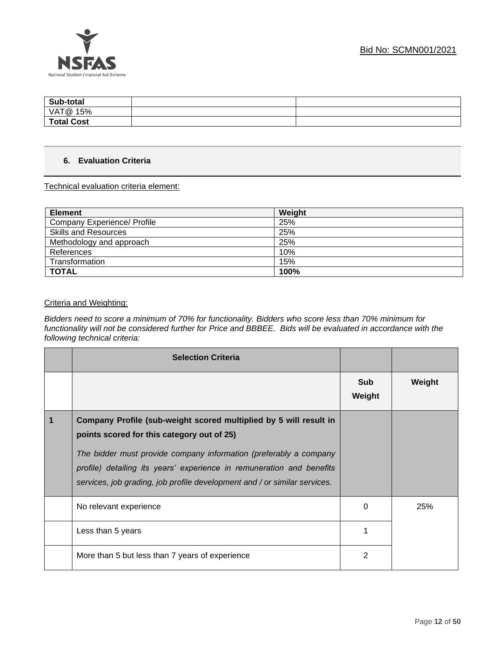

| Sub-total         |  |
|-------------------|--|
| VAT@ 15%          |  |
| <b>Total Cost</b> |  |

### **6. Evaluation Criteria**

Technical evaluation criteria element:

| <b>Element</b>              | Weight |
|-----------------------------|--------|
| Company Experience/ Profile | 25%    |
| <b>Skills and Resources</b> | 25%    |
| Methodology and approach    | 25%    |
| References                  | 10%    |
| Transformation              | 15%    |
| <b>TOTAL</b>                | 100%   |

### Criteria and Weighting:

*Bidders need to score a minimum of 70% for functionality. Bidders who score less than 70% minimum for functionality will not be considered further for Price and BBBEE. Bids will be evaluated in accordance with the following technical criteria:*

| <b>Selection Criteria</b>                                                                                                                                                                                                                                                                                                                  |               |        |
|--------------------------------------------------------------------------------------------------------------------------------------------------------------------------------------------------------------------------------------------------------------------------------------------------------------------------------------------|---------------|--------|
|                                                                                                                                                                                                                                                                                                                                            | Sub<br>Weight | Weight |
| Company Profile (sub-weight scored multiplied by 5 will result in<br>points scored for this category out of 25)<br>The bidder must provide company information (preferably a company<br>profile) detailing its years' experience in remuneration and benefits<br>services, job grading, job profile development and / or similar services. |               |        |
| No relevant experience                                                                                                                                                                                                                                                                                                                     | 0             | 25%    |
| Less than 5 years                                                                                                                                                                                                                                                                                                                          |               |        |
| More than 5 but less than 7 years of experience                                                                                                                                                                                                                                                                                            | 2             |        |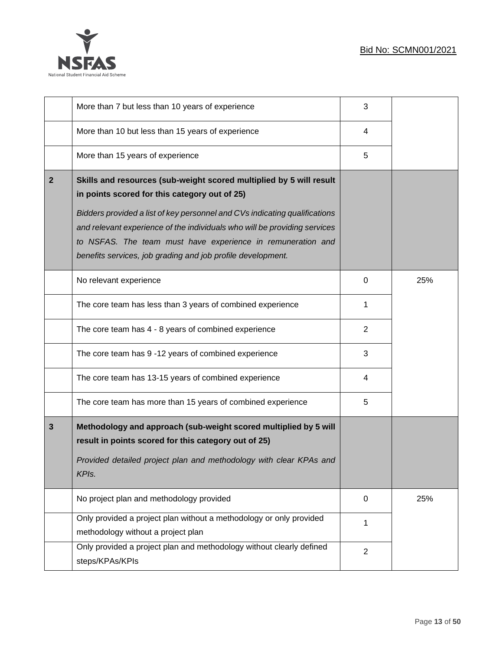

|              | More than 7 but less than 10 years of experience                                                                                                                                                                                                                                                                                                                                                              | 3              |     |
|--------------|---------------------------------------------------------------------------------------------------------------------------------------------------------------------------------------------------------------------------------------------------------------------------------------------------------------------------------------------------------------------------------------------------------------|----------------|-----|
|              | More than 10 but less than 15 years of experience                                                                                                                                                                                                                                                                                                                                                             | 4              |     |
|              | More than 15 years of experience                                                                                                                                                                                                                                                                                                                                                                              | 5              |     |
| $\mathbf{2}$ | Skills and resources (sub-weight scored multiplied by 5 will result<br>in points scored for this category out of 25)<br>Bidders provided a list of key personnel and CVs indicating qualifications<br>and relevant experience of the individuals who will be providing services<br>to NSFAS. The team must have experience in remuneration and<br>benefits services, job grading and job profile development. |                |     |
|              | No relevant experience                                                                                                                                                                                                                                                                                                                                                                                        | 0              | 25% |
|              | The core team has less than 3 years of combined experience                                                                                                                                                                                                                                                                                                                                                    | 1              |     |
|              | The core team has 4 - 8 years of combined experience                                                                                                                                                                                                                                                                                                                                                          | $\overline{2}$ |     |
|              | The core team has 9 -12 years of combined experience                                                                                                                                                                                                                                                                                                                                                          | 3              |     |
|              | The core team has 13-15 years of combined experience                                                                                                                                                                                                                                                                                                                                                          | 4              |     |
|              | The core team has more than 15 years of combined experience                                                                                                                                                                                                                                                                                                                                                   | 5              |     |
| 3            | Methodology and approach (sub-weight scored multiplied by 5 will<br>result in points scored for this category out of 25)<br>Provided detailed project plan and methodology with clear KPAs and<br>KPIs.                                                                                                                                                                                                       |                |     |
|              | No project plan and methodology provided                                                                                                                                                                                                                                                                                                                                                                      | 0              | 25% |
|              | Only provided a project plan without a methodology or only provided<br>methodology without a project plan                                                                                                                                                                                                                                                                                                     | $\mathbf{1}$   |     |
|              | Only provided a project plan and methodology without clearly defined<br>steps/KPAs/KPIs                                                                                                                                                                                                                                                                                                                       | $\overline{2}$ |     |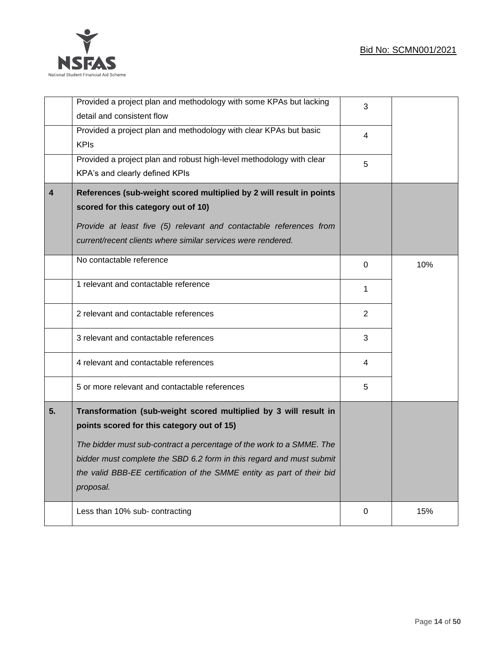

|                         | Provided a project plan and methodology with some KPAs but lacking<br>detail and consistent flow                                                                                                                                                                                                                                                      | 3              |     |
|-------------------------|-------------------------------------------------------------------------------------------------------------------------------------------------------------------------------------------------------------------------------------------------------------------------------------------------------------------------------------------------------|----------------|-----|
|                         | Provided a project plan and methodology with clear KPAs but basic<br><b>KPIs</b>                                                                                                                                                                                                                                                                      | 4              |     |
|                         | Provided a project plan and robust high-level methodology with clear<br>KPA's and clearly defined KPIs                                                                                                                                                                                                                                                | 5              |     |
| $\overline{\mathbf{4}}$ | References (sub-weight scored multiplied by 2 will result in points<br>scored for this category out of 10)<br>Provide at least five (5) relevant and contactable references from<br>current/recent clients where similar services were rendered.                                                                                                      |                |     |
|                         | No contactable reference                                                                                                                                                                                                                                                                                                                              | 0              | 10% |
|                         | 1 relevant and contactable reference                                                                                                                                                                                                                                                                                                                  | 1              |     |
|                         | 2 relevant and contactable references                                                                                                                                                                                                                                                                                                                 | $\overline{2}$ |     |
|                         | 3 relevant and contactable references                                                                                                                                                                                                                                                                                                                 | 3              |     |
|                         | 4 relevant and contactable references                                                                                                                                                                                                                                                                                                                 | 4              |     |
|                         | 5 or more relevant and contactable references                                                                                                                                                                                                                                                                                                         | 5              |     |
| 5.                      | Transformation (sub-weight scored multiplied by 3 will result in<br>points scored for this category out of 15)<br>The bidder must sub-contract a percentage of the work to a SMME. The<br>bidder must complete the SBD 6.2 form in this regard and must submit<br>the valid BBB-EE certification of the SMME entity as part of their bid<br>proposal. |                |     |
|                         | Less than 10% sub- contracting                                                                                                                                                                                                                                                                                                                        | 0              | 15% |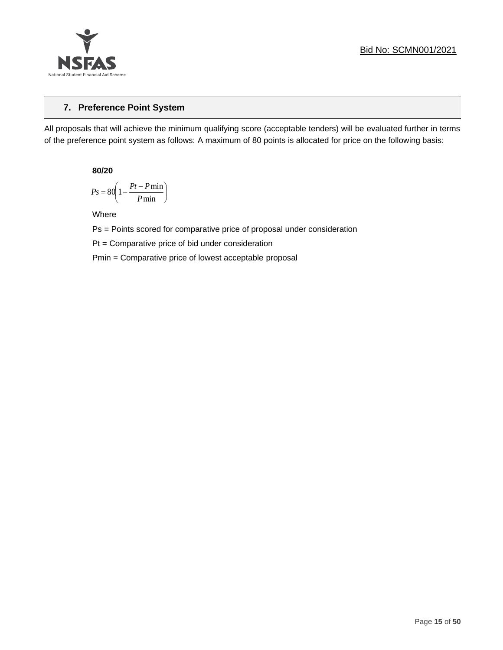

### **7. Preference Point System**

All proposals that will achieve the minimum qualifying score (acceptable tenders) will be evaluated further in terms of the preference point system as follows: A maximum of 80 points is allocated for price on the following basis:

**80/20**

$$
Ps = 80 \left( 1 - \frac{Pt - P \min}{P \min} \right)
$$

Where

Ps = Points scored for comparative price of proposal under consideration

Pt = Comparative price of bid under consideration

Pmin = Comparative price of lowest acceptable proposal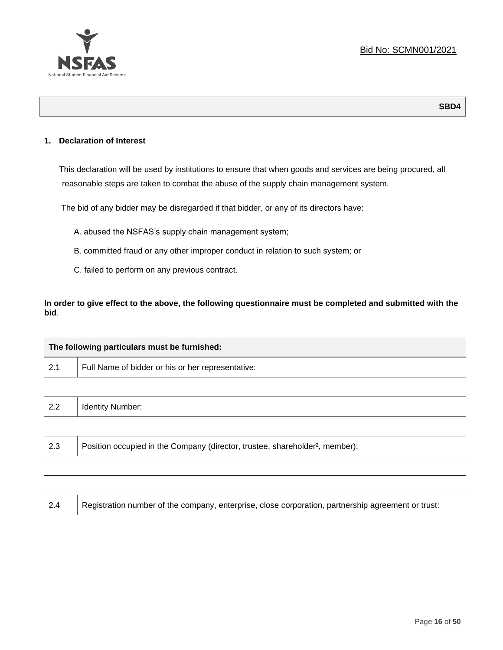

**SBD4**

### **1. Declaration of Interest**

This declaration will be used by institutions to ensure that when goods and services are being procured, all reasonable steps are taken to combat the abuse of the supply chain management system.

The bid of any bidder may be disregarded if that bidder, or any of its directors have:

- A. abused the NSFAS's supply chain management system;
- B. committed fraud or any other improper conduct in relation to such system; or
- C. failed to perform on any previous contract.

**In order to give effect to the above, the following questionnaire must be completed and submitted with the bid**.

| The following particulars must be furnished: |                                                                                          |  |  |
|----------------------------------------------|------------------------------------------------------------------------------------------|--|--|
| 2.1                                          | Full Name of bidder or his or her representative:                                        |  |  |
|                                              |                                                                                          |  |  |
| 2.2                                          | <b>Identity Number:</b>                                                                  |  |  |
|                                              |                                                                                          |  |  |
| 2.3                                          | Position occupied in the Company (director, trustee, shareholder <sup>2</sup> , member): |  |  |
|                                              |                                                                                          |  |  |

| Registration number of the company, enterprise, close corporation, partnership agreement or trust:<br>2.4 |  |
|-----------------------------------------------------------------------------------------------------------|--|
|-----------------------------------------------------------------------------------------------------------|--|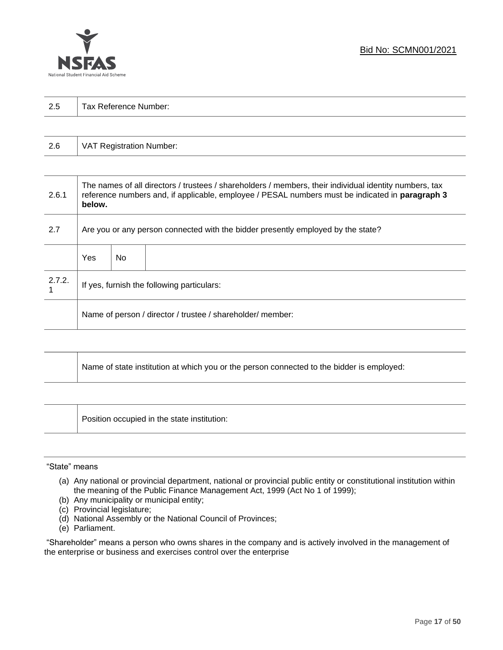

| 2.5 | Tax Reference Number: |  |  |  |  |
|-----|-----------------------|--|--|--|--|
|     |                       |  |  |  |  |

| 2.6 | VAT Registration Number: |
|-----|--------------------------|
|-----|--------------------------|

| 2.6.1  | The names of all directors / trustees / shareholders / members, their individual identity numbers, tax<br>reference numbers and, if applicable, employee / PESAL numbers must be indicated in paragraph 3<br>below. |     |  |  |
|--------|---------------------------------------------------------------------------------------------------------------------------------------------------------------------------------------------------------------------|-----|--|--|
| 2.7    | Are you or any person connected with the bidder presently employed by the state?                                                                                                                                    |     |  |  |
|        | Yes                                                                                                                                                                                                                 | No. |  |  |
| 2.7.2. | If yes, furnish the following particulars:                                                                                                                                                                          |     |  |  |
|        | Name of person / director / trustee / shareholder/ member:                                                                                                                                                          |     |  |  |

| Name of state institution at which you or the person connected to the bidder is employed: |
|-------------------------------------------------------------------------------------------|
|                                                                                           |

Position occupied in the state institution:

### "State" means

┱

- (a) Any national or provincial department, national or provincial public entity or constitutional institution within the meaning of the Public Finance Management Act, 1999 (Act No 1 of 1999);
- (b) Any municipality or municipal entity;
- (c) Provincial legislature;
- (d) National Assembly or the National Council of Provinces;
- (e) Parliament.

"Shareholder" means a person who owns shares in the company and is actively involved in the management of the enterprise or business and exercises control over the enterprise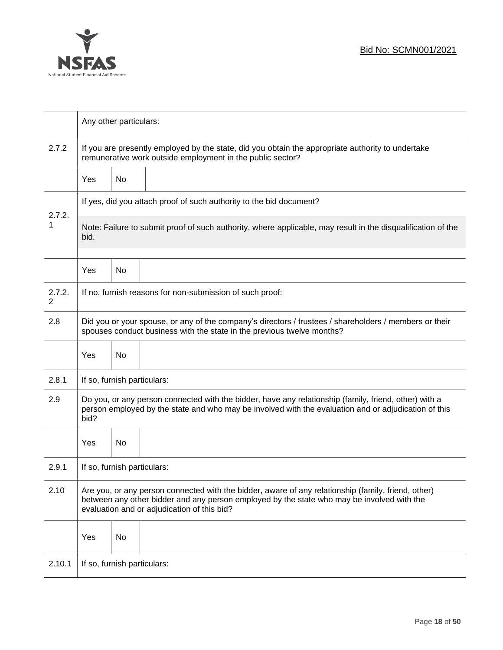

|             |                                                                                                                                                                                                                                                  | Any other particulars: |                                                                     |  |  |
|-------------|--------------------------------------------------------------------------------------------------------------------------------------------------------------------------------------------------------------------------------------------------|------------------------|---------------------------------------------------------------------|--|--|
| 2.7.2       | If you are presently employed by the state, did you obtain the appropriate authority to undertake<br>remunerative work outside employment in the public sector?                                                                                  |                        |                                                                     |  |  |
|             | <b>Yes</b>                                                                                                                                                                                                                                       | No                     |                                                                     |  |  |
|             |                                                                                                                                                                                                                                                  |                        | If yes, did you attach proof of such authority to the bid document? |  |  |
| 2.7.2.<br>1 | Note: Failure to submit proof of such authority, where applicable, may result in the disqualification of the<br>bid.                                                                                                                             |                        |                                                                     |  |  |
|             | Yes                                                                                                                                                                                                                                              | No                     |                                                                     |  |  |
| 2.7.2.<br>2 |                                                                                                                                                                                                                                                  |                        | If no, furnish reasons for non-submission of such proof:            |  |  |
| 2.8         | Did you or your spouse, or any of the company's directors / trustees / shareholders / members or their<br>spouses conduct business with the state in the previous twelve months?                                                                 |                        |                                                                     |  |  |
|             | Yes                                                                                                                                                                                                                                              | No                     |                                                                     |  |  |
| 2.8.1       | If so, furnish particulars:                                                                                                                                                                                                                      |                        |                                                                     |  |  |
| 2.9         | Do you, or any person connected with the bidder, have any relationship (family, friend, other) with a<br>person employed by the state and who may be involved with the evaluation and or adjudication of this<br>bid?                            |                        |                                                                     |  |  |
|             | Yes                                                                                                                                                                                                                                              | No                     |                                                                     |  |  |
| 2.9.1       | If so, furnish particulars:                                                                                                                                                                                                                      |                        |                                                                     |  |  |
| 2.10        | Are you, or any person connected with the bidder, aware of any relationship (family, friend, other)<br>between any other bidder and any person employed by the state who may be involved with the<br>evaluation and or adjudication of this bid? |                        |                                                                     |  |  |
|             | Yes                                                                                                                                                                                                                                              | No                     |                                                                     |  |  |
| 2.10.1      | If so, furnish particulars:                                                                                                                                                                                                                      |                        |                                                                     |  |  |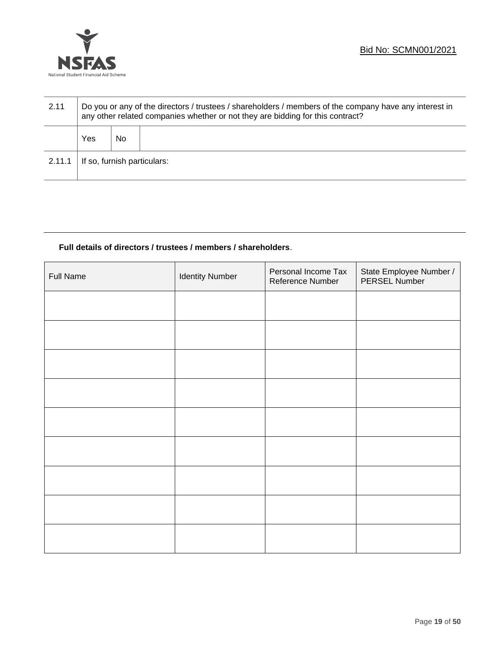

| 2.11   | Do you or any of the directors / trustees / shareholders / members of the company have any interest in<br>any other related companies whether or not they are bidding for this contract? |    |  |  |
|--------|------------------------------------------------------------------------------------------------------------------------------------------------------------------------------------------|----|--|--|
|        | Yes                                                                                                                                                                                      | No |  |  |
| 2.11.1 | If so, furnish particulars:                                                                                                                                                              |    |  |  |

### **Full details of directors / trustees / members / shareholders**.

| <b>Full Name</b> | <b>Identity Number</b> | Personal Income Tax<br>Reference Number | State Employee Number /<br>PERSEL Number |
|------------------|------------------------|-----------------------------------------|------------------------------------------|
|                  |                        |                                         |                                          |
|                  |                        |                                         |                                          |
|                  |                        |                                         |                                          |
|                  |                        |                                         |                                          |
|                  |                        |                                         |                                          |
|                  |                        |                                         |                                          |
|                  |                        |                                         |                                          |
|                  |                        |                                         |                                          |
|                  |                        |                                         |                                          |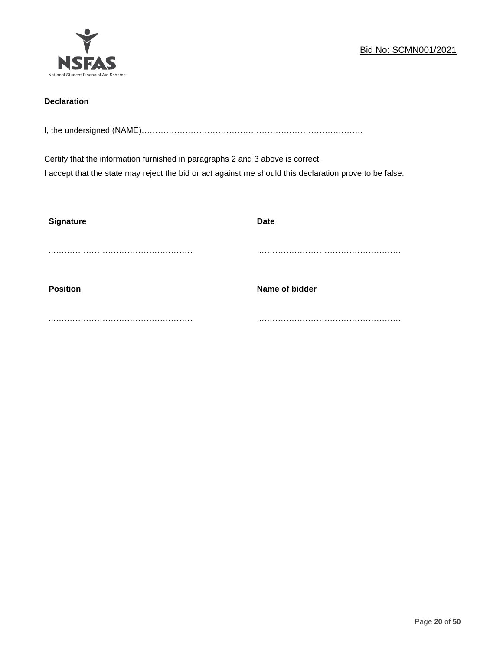

### **Declaration**

I, the undersigned (NAME)………………………………………………………………………

Certify that the information furnished in paragraphs 2 and 3 above is correct. I accept that the state may reject the bid or act against me should this declaration prove to be false.

| <b>Signature</b> | <b>Date</b>    |
|------------------|----------------|
|                  |                |
| <b>Position</b>  | Name of bidder |
|                  |                |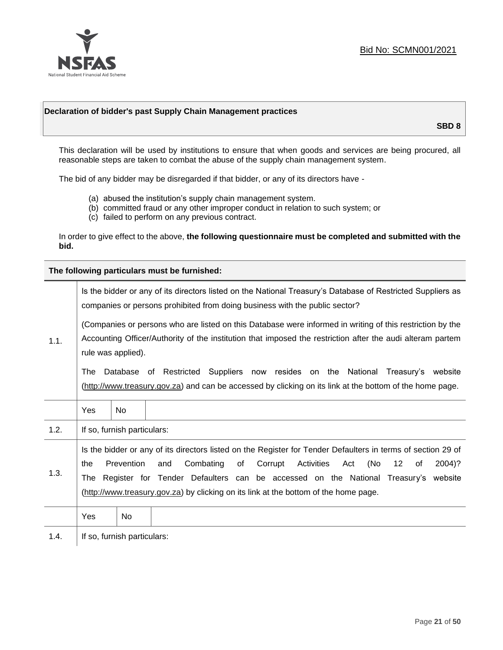

### **Declaration of bidder's past Supply Chain Management practices**

**SBD 8**

This declaration will be used by institutions to ensure that when goods and services are being procured, all reasonable steps are taken to combat the abuse of the supply chain management system.

The bid of any bidder may be disregarded if that bidder, or any of its directors have -

- (a) abused the institution's supply chain management system.
- (b) committed fraud or any other improper conduct in relation to such system; or
- (c) failed to perform on any previous contract.

In order to give effect to the above, **the following questionnaire must be completed and submitted with the bid.**

**The following particulars must be furnished:**

| 1.1. | Is the bidder or any of its directors listed on the National Treasury's Database of Restricted Suppliers as<br>companies or persons prohibited from doing business with the public sector?                                                                                                                                                                                                                   |                             |                                                                                                                                                                                                |  |  |  |
|------|--------------------------------------------------------------------------------------------------------------------------------------------------------------------------------------------------------------------------------------------------------------------------------------------------------------------------------------------------------------------------------------------------------------|-----------------------------|------------------------------------------------------------------------------------------------------------------------------------------------------------------------------------------------|--|--|--|
|      | (Companies or persons who are listed on this Database were informed in writing of this restriction by the<br>Accounting Officer/Authority of the institution that imposed the restriction after the audi alteram partem<br>rule was applied).                                                                                                                                                                |                             |                                                                                                                                                                                                |  |  |  |
|      | The                                                                                                                                                                                                                                                                                                                                                                                                          |                             | Database of Restricted Suppliers now resides on the National<br>Treasury's website<br>(http://www.treasury.gov.za) and can be accessed by clicking on its link at the bottom of the home page. |  |  |  |
|      | Yes                                                                                                                                                                                                                                                                                                                                                                                                          | No.                         |                                                                                                                                                                                                |  |  |  |
| 1.2. |                                                                                                                                                                                                                                                                                                                                                                                                              | If so, furnish particulars: |                                                                                                                                                                                                |  |  |  |
| 1.3. | Is the bidder or any of its directors listed on the Register for Tender Defaulters in terms of section 29 of<br>Prevention<br>Combating<br>Corrupt<br>Activities<br>(No<br>12<br>and<br>of<br>Act<br>2004)?<br>the<br>of<br>Register for Tender Defaulters can be accessed on the National Treasury's website<br>The<br>(http://www.treasury.gov.za) by clicking on its link at the bottom of the home page. |                             |                                                                                                                                                                                                |  |  |  |
|      | Yes                                                                                                                                                                                                                                                                                                                                                                                                          | No                          |                                                                                                                                                                                                |  |  |  |
| 1.4. | If so, furnish particulars:                                                                                                                                                                                                                                                                                                                                                                                  |                             |                                                                                                                                                                                                |  |  |  |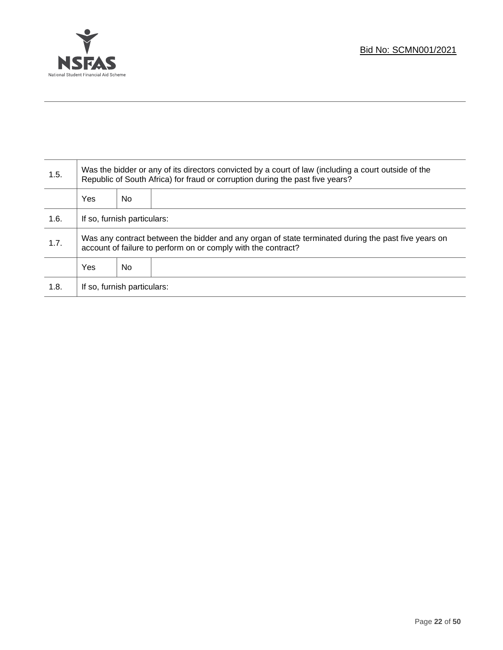

T

| 1.5. | Was the bidder or any of its directors convicted by a court of law (including a court outside of the<br>Republic of South Africa) for fraud or corruption during the past five years? |    |  |  |
|------|---------------------------------------------------------------------------------------------------------------------------------------------------------------------------------------|----|--|--|
|      | <b>Yes</b>                                                                                                                                                                            | No |  |  |
| 1.6. | If so, furnish particulars:                                                                                                                                                           |    |  |  |
| 1.7. | Was any contract between the bidder and any organ of state terminated during the past five years on<br>account of failure to perform on or comply with the contract?                  |    |  |  |
|      | <b>Yes</b>                                                                                                                                                                            | No |  |  |
| 1.8. | If so, furnish particulars:                                                                                                                                                           |    |  |  |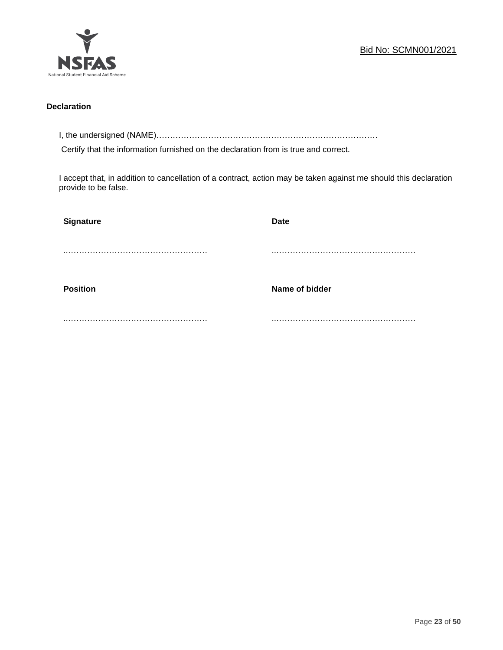

### **Declaration**

I, the undersigned (NAME)………………………………………………………………………

Certify that the information furnished on the declaration from is true and correct.

I accept that, in addition to cancellation of a contract, action may be taken against me should this declaration provide to be false.

| Signature       | <b>Date</b>    |
|-----------------|----------------|
|                 |                |
|                 |                |
| <b>Position</b> | Name of bidder |
|                 |                |
|                 |                |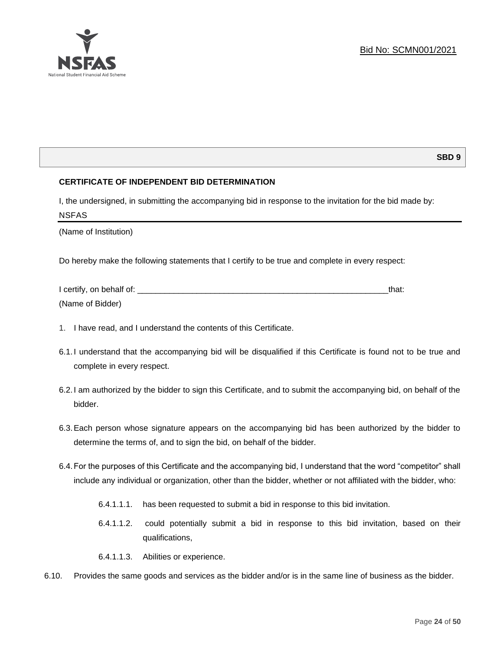

### **SBD 9**

### **CERTIFICATE OF INDEPENDENT BID DETERMINATION**

I, the undersigned, in submitting the accompanying bid in response to the invitation for the bid made by: NSFAS

(Name of Institution)

Do hereby make the following statements that I certify to be true and complete in every respect:

| I certify, on behalf of: |  |
|--------------------------|--|
| (Name of Bidder)         |  |

- 1. I have read, and I understand the contents of this Certificate.
- 6.1.I understand that the accompanying bid will be disqualified if this Certificate is found not to be true and complete in every respect.
- 6.2.I am authorized by the bidder to sign this Certificate, and to submit the accompanying bid, on behalf of the bidder.
- 6.3.Each person whose signature appears on the accompanying bid has been authorized by the bidder to determine the terms of, and to sign the bid, on behalf of the bidder.
- 6.4.For the purposes of this Certificate and the accompanying bid, I understand that the word "competitor" shall include any individual or organization, other than the bidder, whether or not affiliated with the bidder, who:
	- 6.4.1.1.1. has been requested to submit a bid in response to this bid invitation.
	- 6.4.1.1.2. could potentially submit a bid in response to this bid invitation, based on their qualifications,
	- 6.4.1.1.3. Abilities or experience.
- 6.10. Provides the same goods and services as the bidder and/or is in the same line of business as the bidder.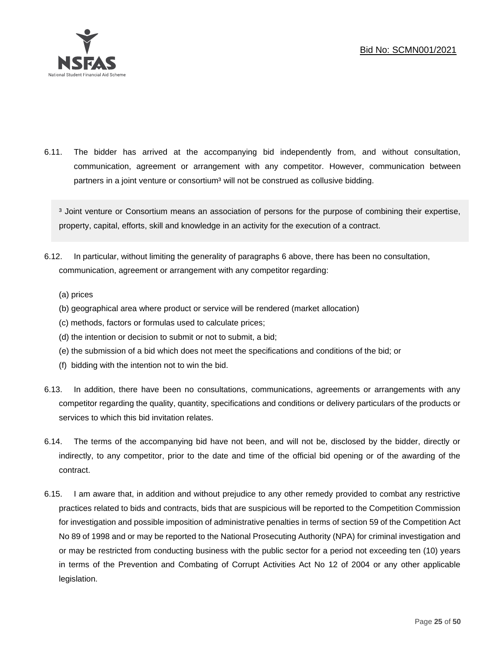

6.11. The bidder has arrived at the accompanying bid independently from, and without consultation, communication, agreement or arrangement with any competitor. However, communication between partners in a joint venture or consortium<sup>3</sup> will not be construed as collusive bidding.

<sup>3</sup> Joint venture or Consortium means an association of persons for the purpose of combining their expertise, property, capital, efforts, skill and knowledge in an activity for the execution of a contract.

- 6.12. In particular, without limiting the generality of paragraphs 6 above, there has been no consultation, communication, agreement or arrangement with any competitor regarding:
	- (a) prices
	- (b) geographical area where product or service will be rendered (market allocation)
	- (c) methods, factors or formulas used to calculate prices;
	- (d) the intention or decision to submit or not to submit, a bid;
	- (e) the submission of a bid which does not meet the specifications and conditions of the bid; or
	- (f) bidding with the intention not to win the bid.
- 6.13. In addition, there have been no consultations, communications, agreements or arrangements with any competitor regarding the quality, quantity, specifications and conditions or delivery particulars of the products or services to which this bid invitation relates.
- 6.14. The terms of the accompanying bid have not been, and will not be, disclosed by the bidder, directly or indirectly, to any competitor, prior to the date and time of the official bid opening or of the awarding of the contract.
- 6.15. I am aware that, in addition and without prejudice to any other remedy provided to combat any restrictive practices related to bids and contracts, bids that are suspicious will be reported to the Competition Commission for investigation and possible imposition of administrative penalties in terms of section 59 of the Competition Act No 89 of 1998 and or may be reported to the National Prosecuting Authority (NPA) for criminal investigation and or may be restricted from conducting business with the public sector for a period not exceeding ten (10) years in terms of the Prevention and Combating of Corrupt Activities Act No 12 of 2004 or any other applicable legislation.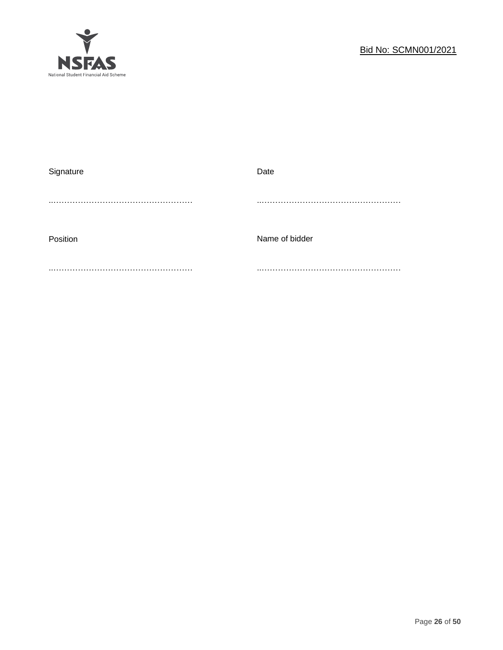

| Signature | Date           |
|-----------|----------------|
|           |                |
|           |                |
|           |                |
| Position  | Name of bidder |
|           |                |
|           |                |
|           |                |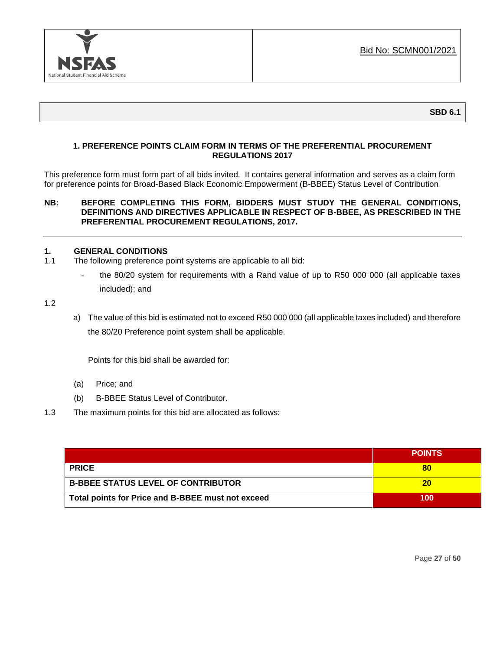

### **1. PREFERENCE POINTS CLAIM FORM IN TERMS OF THE PREFERENTIAL PROCUREMENT REGULATIONS 2017**

This preference form must form part of all bids invited. It contains general information and serves as a claim form for preference points for Broad-Based Black Economic Empowerment (B-BBEE) Status Level of Contribution

### **NB: BEFORE COMPLETING THIS FORM, BIDDERS MUST STUDY THE GENERAL CONDITIONS, DEFINITIONS AND DIRECTIVES APPLICABLE IN RESPECT OF B-BBEE, AS PRESCRIBED IN THE PREFERENTIAL PROCUREMENT REGULATIONS, 2017.**

### **1. GENERAL CONDITIONS**

- 1.1 The following preference point systems are applicable to all bid:
	- the 80/20 system for requirements with a Rand value of up to R50 000 000 (all applicable taxes included); and

1.2

a) The value of this bid is estimated not to exceed R50 000 000 (all applicable taxes included) and therefore the 80/20 Preference point system shall be applicable.

Points for this bid shall be awarded for:

- (a) Price; and
- (b) B-BBEE Status Level of Contributor.
- 1.3 The maximum points for this bid are allocated as follows:

|                                                   | <b>POINTS</b> |
|---------------------------------------------------|---------------|
| <b>PRICE</b>                                      | 80            |
| <b>B-BBEE STATUS LEVEL OF CONTRIBUTOR</b>         | 20            |
| Total points for Price and B-BBEE must not exceed | 100           |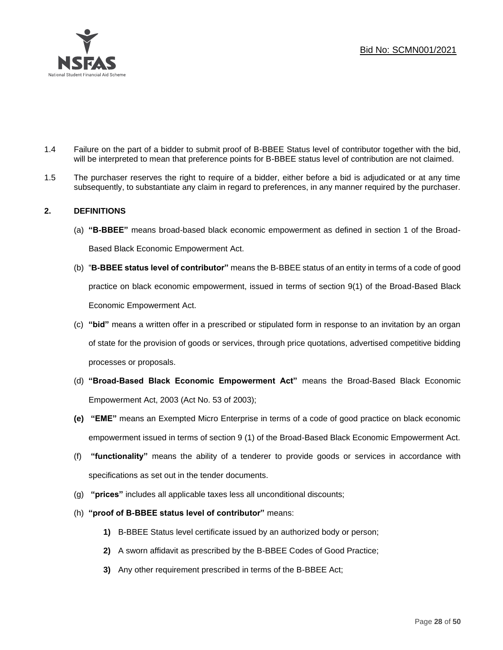

- 1.4 Failure on the part of a bidder to submit proof of B-BBEE Status level of contributor together with the bid, will be interpreted to mean that preference points for B-BBEE status level of contribution are not claimed.
- 1.5 The purchaser reserves the right to require of a bidder, either before a bid is adjudicated or at any time subsequently, to substantiate any claim in regard to preferences, in any manner required by the purchaser.

### **2. DEFINITIONS**

- (a) **"B-BBEE"** means broad-based black economic empowerment as defined in section 1 of the Broad-Based Black Economic Empowerment Act.
- (b) "**B-BBEE status level of contributor"** means the B-BBEE status of an entity in terms of a code of good practice on black economic empowerment, issued in terms of section 9(1) of the Broad-Based Black Economic Empowerment Act.
- (c) **"bid"** means a written offer in a prescribed or stipulated form in response to an invitation by an organ of state for the provision of goods or services, through price quotations, advertised competitive bidding processes or proposals.
- (d) **"Broad-Based Black Economic Empowerment Act"** means the Broad-Based Black Economic Empowerment Act, 2003 (Act No. 53 of 2003);
- **(e) "EME"** means an Exempted Micro Enterprise in terms of a code of good practice on black economic empowerment issued in terms of section 9 (1) of the Broad-Based Black Economic Empowerment Act.
- (f) **"functionality"** means the ability of a tenderer to provide goods or services in accordance with specifications as set out in the tender documents.
- (g) **"prices"** includes all applicable taxes less all unconditional discounts;
- (h) **"proof of B-BBEE status level of contributor"** means:
	- **1)** B-BBEE Status level certificate issued by an authorized body or person;
	- **2)** A sworn affidavit as prescribed by the B-BBEE Codes of Good Practice;
	- **3)** Any other requirement prescribed in terms of the B-BBEE Act;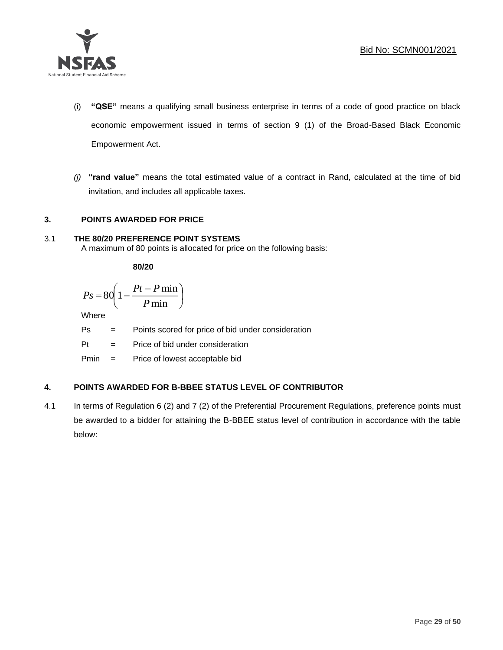

- (i) **"QSE"** means a qualifying small business enterprise in terms of a code of good practice on black economic empowerment issued in terms of section 9 (1) of the Broad-Based Black Economic Empowerment Act.
- *(j)* **"rand value"** means the total estimated value of a contract in Rand, calculated at the time of bid invitation, and includes all applicable taxes.

### **3. POINTS AWARDED FOR PRICE**

### 3.1 **THE 80/20 PREFERENCE POINT SYSTEMS**

A maximum of 80 points is allocated for price on the following basis:

**80/20**

$$
Ps = 80 \left( 1 - \frac{Pt - P \min}{P \min} \right)
$$

Where

Ps = Points scored for price of bid under consideration

l

Pt = Price of bid under consideration

Pmin = Price of lowest acceptable bid

### **4. POINTS AWARDED FOR B-BBEE STATUS LEVEL OF CONTRIBUTOR**

4.1 In terms of Regulation 6 (2) and 7 (2) of the Preferential Procurement Regulations, preference points must be awarded to a bidder for attaining the B-BBEE status level of contribution in accordance with the table below: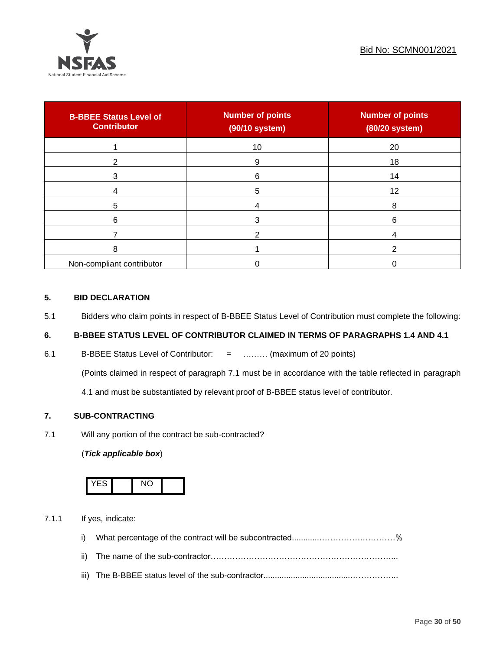

| <b>B-BBEE Status Level of</b><br><b>Contributor</b> | <b>Number of points</b><br>(90/10 system) | <b>Number of points</b><br>(80/20 system) |
|-----------------------------------------------------|-------------------------------------------|-------------------------------------------|
|                                                     | 10                                        | 20                                        |
| 2                                                   | 9                                         | 18                                        |
| 3                                                   | 6                                         | 14                                        |
|                                                     | 5                                         | 12                                        |
| 5                                                   |                                           | 8                                         |
| 6                                                   |                                           | 6                                         |
|                                                     |                                           |                                           |
| 8                                                   |                                           |                                           |
| Non-compliant contributor                           |                                           |                                           |

### **5. BID DECLARATION**

5.1 Bidders who claim points in respect of B-BBEE Status Level of Contribution must complete the following:

### **6. B-BBEE STATUS LEVEL OF CONTRIBUTOR CLAIMED IN TERMS OF PARAGRAPHS 1.4 AND 4.1**

6.1 B-BBEE Status Level of Contributor: = ……… (maximum of 20 points)

(Points claimed in respect of paragraph 7.1 must be in accordance with the table reflected in paragraph

4.1 and must be substantiated by relevant proof of B-BBEE status level of contributor.

### **7. SUB-CONTRACTING**

7.1 Will any portion of the contract be sub-contracted?

### (*Tick applicable box*)



7.1.1 If yes, indicate:

- i) What percentage of the contract will be subcontracted............…………….…………%
- ii) The name of the sub-contractor…………………………………………………………...
- iii) The B-BBEE status level of the sub-contractor......................................……………...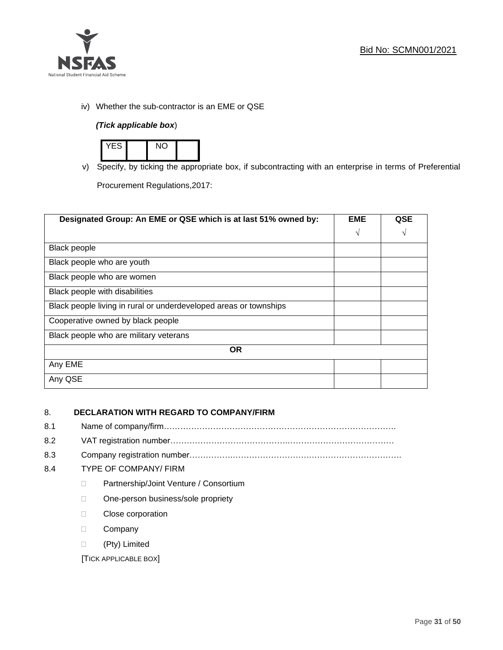

iv) Whether the sub-contractor is an EME or QSE

### *(Tick applicable box*)



v) Specify, by ticking the appropriate box, if subcontracting with an enterprise in terms of Preferential

Procurement Regulations,2017:

| Designated Group: An EME or QSE which is at last 51% owned by:    | <b>EME</b> | QSE |
|-------------------------------------------------------------------|------------|-----|
|                                                                   | $\sqrt{ }$ | V   |
| Black people                                                      |            |     |
| Black people who are youth                                        |            |     |
| Black people who are women                                        |            |     |
| Black people with disabilities                                    |            |     |
| Black people living in rural or underdeveloped areas or townships |            |     |
| Cooperative owned by black people                                 |            |     |
| Black people who are military veterans                            |            |     |
| <b>OR</b>                                                         |            |     |
| Any EME                                                           |            |     |
| Any QSE                                                           |            |     |

### 8. **DECLARATION WITH REGARD TO COMPANY/FIRM**

- 8.1 Name of company/firm………………………………………………………………………….
- 8.2 VAT registration number…………………………………….…………………………………
- 8.3 Company registration number…………….……………………….…………………………….

### 8.4 TYPE OF COMPANY/ FIRM

- D Partnership/Joint Venture / Consortium
- □ One-person business/sole propriety
- D Close corporation
- D Company
- (Pty) Limited

[TICK APPLICABLE BOX]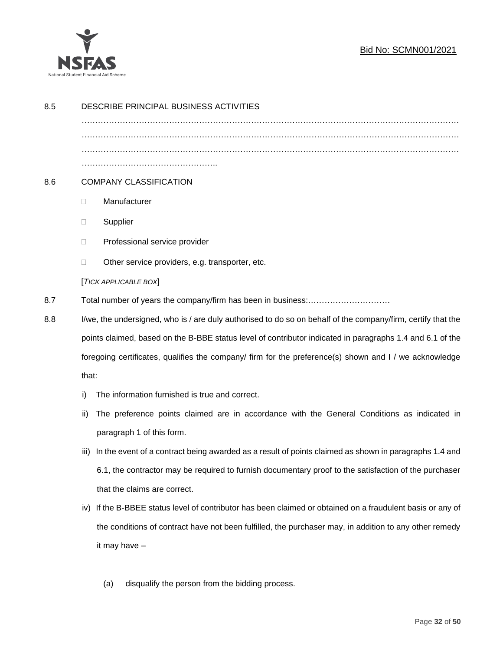

### Bid No: SCMN001/2021

| 8.5 | DESCRIBE PRINCIPAL BUSINESS ACTIVITIES                                                                       |                                                                                                        |
|-----|--------------------------------------------------------------------------------------------------------------|--------------------------------------------------------------------------------------------------------|
|     |                                                                                                              |                                                                                                        |
|     |                                                                                                              |                                                                                                        |
|     |                                                                                                              |                                                                                                        |
| 8.6 | <b>COMPANY CLASSIFICATION</b>                                                                                |                                                                                                        |
|     | Manufacturer<br>$\Box$                                                                                       |                                                                                                        |
|     | Supplier<br>$\Box$                                                                                           |                                                                                                        |
|     | Professional service provider<br>$\Box$                                                                      |                                                                                                        |
|     | Other service providers, e.g. transporter, etc.<br>$\Box$                                                    |                                                                                                        |
|     | [TICK APPLICABLE BOX]                                                                                        |                                                                                                        |
| 8.7 |                                                                                                              |                                                                                                        |
| 8.8 | I/we, the undersigned, who is / are duly authorised to do so on behalf of the company/firm, certify that the |                                                                                                        |
|     | points claimed, based on the B-BBE status level of contributor indicated in paragraphs 1.4 and 6.1 of the    |                                                                                                        |
|     | foregoing certificates, qualifies the company/ firm for the preference(s) shown and I / we acknowledge       |                                                                                                        |
|     | that:                                                                                                        |                                                                                                        |
|     | The information furnished is true and correct.<br>i)                                                         |                                                                                                        |
|     | ii)                                                                                                          | The preference points claimed are in accordance with the General Conditions as indicated in            |
|     | paragraph 1 of this form.                                                                                    |                                                                                                        |
|     | iii)                                                                                                         | In the event of a contract being awarded as a result of points claimed as shown in paragraphs 1.4 and  |
|     |                                                                                                              | 6.1, the contractor may be required to furnish documentary proof to the satisfaction of the purchaser  |
|     | that the claims are correct.                                                                                 |                                                                                                        |
|     | iv)                                                                                                          | If the B-BBEE status level of contributor has been claimed or obtained on a fraudulent basis or any of |
|     |                                                                                                              | the conditions of contract have not been fulfilled, the purchaser may, in addition to any other remedy |
|     | it may have -                                                                                                |                                                                                                        |
|     |                                                                                                              |                                                                                                        |
|     | disqualify the person from the bidding process.<br>(a)                                                       |                                                                                                        |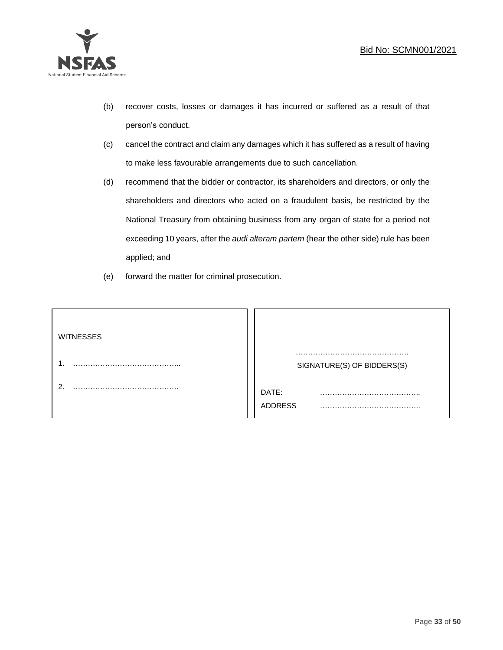

- (b) recover costs, losses or damages it has incurred or suffered as a result of that person's conduct.
- (c) cancel the contract and claim any damages which it has suffered as a result of having to make less favourable arrangements due to such cancellation.
- (d) recommend that the bidder or contractor, its shareholders and directors, or only the shareholders and directors who acted on a fraudulent basis, be restricted by the National Treasury from obtaining business from any organ of state for a period not exceeding 10 years, after the *audi alteram partem* (hear the other side) rule has been applied; and
- (e) forward the matter for criminal prosecution.

| <b>WITNESSES</b> |                            |
|------------------|----------------------------|
|                  | SIGNATURE(S) OF BIDDERS(S) |
|                  | DATE:<br>.<br>ADDRESS      |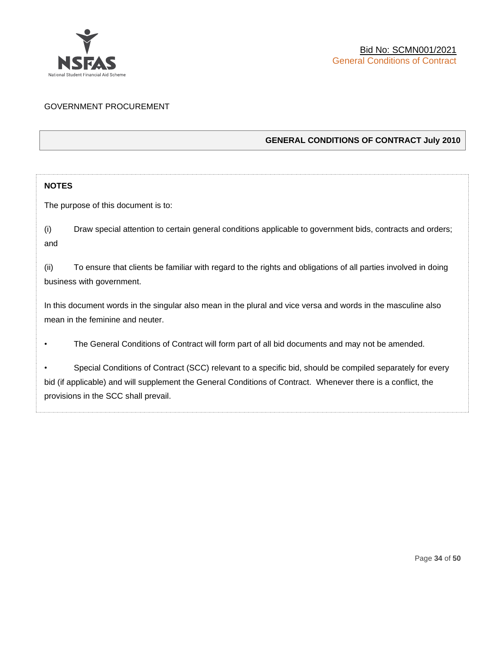

### GOVERNMENT PROCUREMENT

### **GENERAL CONDITIONS OF CONTRACT July 2010**

### **NOTES**

The purpose of this document is to:

(i) Draw special attention to certain general conditions applicable to government bids, contracts and orders; and

(ii) To ensure that clients be familiar with regard to the rights and obligations of all parties involved in doing business with government.

In this document words in the singular also mean in the plural and vice versa and words in the masculine also mean in the feminine and neuter.

• The General Conditions of Contract will form part of all bid documents and may not be amended.

Special Conditions of Contract (SCC) relevant to a specific bid, should be compiled separately for every bid (if applicable) and will supplement the General Conditions of Contract. Whenever there is a conflict, the provisions in the SCC shall prevail.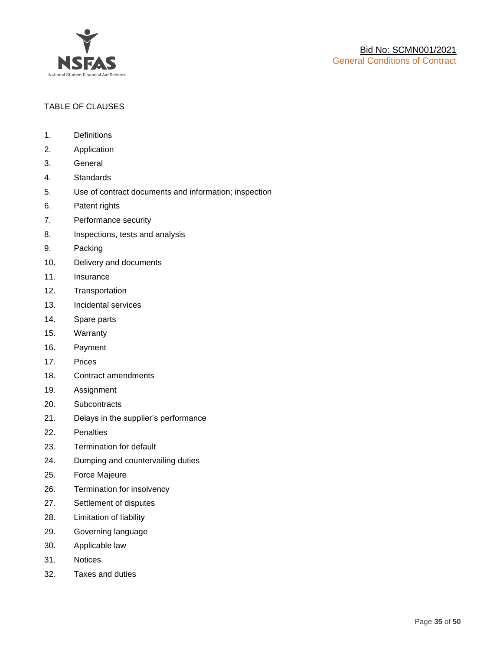

### TABLE OF CLAUSES

- 1. Definitions
- 2. Application
- 3. General
- 4. Standards
- 5. Use of contract documents and information; inspection
- 6. Patent rights
- 7. Performance security
- 8. Inspections, tests and analysis
- 9. Packing
- 10. Delivery and documents
- 11. Insurance
- 12. Transportation
- 13. Incidental services
- 14. Spare parts
- 15. Warranty
- 16. Payment
- 17. Prices
- 18. Contract amendments
- 19. Assignment
- 20. Subcontracts
- 21. Delays in the supplier's performance
- 22. Penalties
- 23. Termination for default
- 24. Dumping and countervailing duties
- 25. Force Majeure
- 26. Termination for insolvency
- 27. Settlement of disputes
- 28. Limitation of liability
- 29. Governing language
- 30. Applicable law
- 31. Notices
- 32. Taxes and duties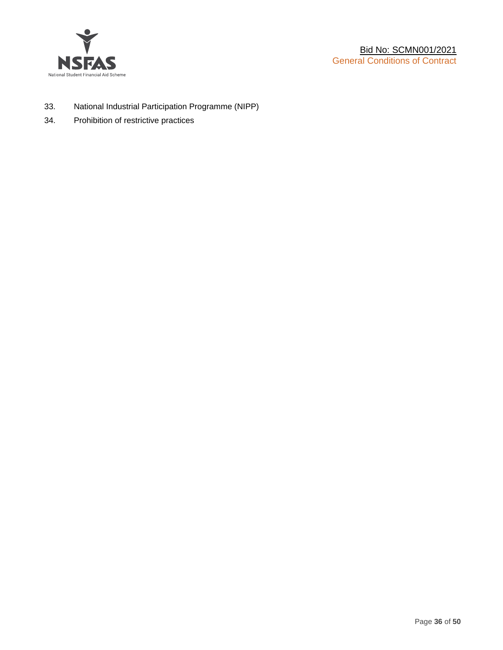

- 33. National Industrial Participation Programme (NIPP)
- 34. Prohibition of restrictive practices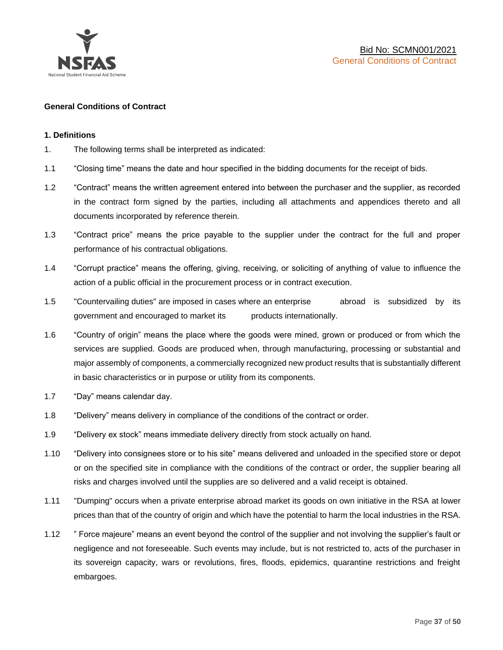

### **General Conditions of Contract**

### **1. Definitions**

- 1. The following terms shall be interpreted as indicated:
- 1.1 "Closing time" means the date and hour specified in the bidding documents for the receipt of bids.
- 1.2 "Contract" means the written agreement entered into between the purchaser and the supplier, as recorded in the contract form signed by the parties, including all attachments and appendices thereto and all documents incorporated by reference therein.
- 1.3 "Contract price" means the price payable to the supplier under the contract for the full and proper performance of his contractual obligations.
- 1.4 "Corrupt practice" means the offering, giving, receiving, or soliciting of anything of value to influence the action of a public official in the procurement process or in contract execution.
- 1.5 "Countervailing duties" are imposed in cases where an enterprise abroad is subsidized by its government and encouraged to market its products internationally.
- 1.6 "Country of origin" means the place where the goods were mined, grown or produced or from which the services are supplied. Goods are produced when, through manufacturing, processing or substantial and major assembly of components, a commercially recognized new product results that is substantially different in basic characteristics or in purpose or utility from its components.
- 1.7 "Day" means calendar day.
- 1.8 "Delivery" means delivery in compliance of the conditions of the contract or order.
- 1.9 "Delivery ex stock" means immediate delivery directly from stock actually on hand.
- 1.10 "Delivery into consignees store or to his site" means delivered and unloaded in the specified store or depot or on the specified site in compliance with the conditions of the contract or order, the supplier bearing all risks and charges involved until the supplies are so delivered and a valid receipt is obtained.
- 1.11 "Dumping" occurs when a private enterprise abroad market its goods on own initiative in the RSA at lower prices than that of the country of origin and which have the potential to harm the local industries in the RSA.
- 1.12 " Force majeure" means an event beyond the control of the supplier and not involving the supplier's fault or negligence and not foreseeable. Such events may include, but is not restricted to, acts of the purchaser in its sovereign capacity, wars or revolutions, fires, floods, epidemics, quarantine restrictions and freight embargoes.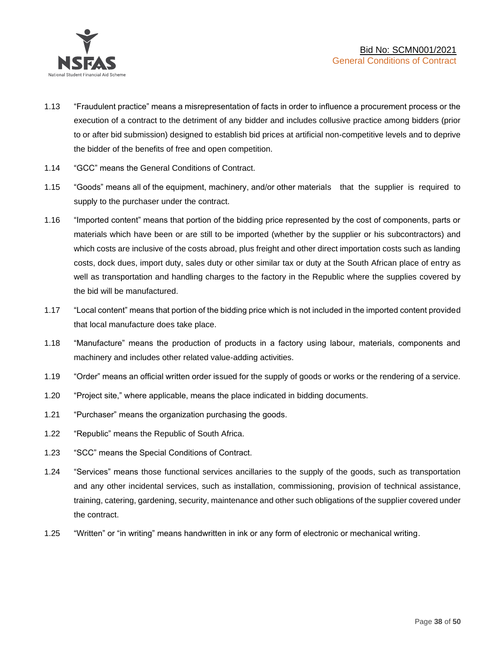

- 1.13 "Fraudulent practice" means a misrepresentation of facts in order to influence a procurement process or the execution of a contract to the detriment of any bidder and includes collusive practice among bidders (prior to or after bid submission) designed to establish bid prices at artificial non-competitive levels and to deprive the bidder of the benefits of free and open competition.
- 1.14 "GCC" means the General Conditions of Contract.
- 1.15 "Goods" means all of the equipment, machinery, and/or other materials that the supplier is required to supply to the purchaser under the contract.
- 1.16 "Imported content" means that portion of the bidding price represented by the cost of components, parts or materials which have been or are still to be imported (whether by the supplier or his subcontractors) and which costs are inclusive of the costs abroad, plus freight and other direct importation costs such as landing costs, dock dues, import duty, sales duty or other similar tax or duty at the South African place of entry as well as transportation and handling charges to the factory in the Republic where the supplies covered by the bid will be manufactured.
- 1.17 "Local content" means that portion of the bidding price which is not included in the imported content provided that local manufacture does take place.
- 1.18 "Manufacture" means the production of products in a factory using labour, materials, components and machinery and includes other related value-adding activities.
- 1.19 "Order" means an official written order issued for the supply of goods or works or the rendering of a service.
- 1.20 "Project site," where applicable, means the place indicated in bidding documents.
- 1.21 "Purchaser" means the organization purchasing the goods.
- 1.22 "Republic" means the Republic of South Africa.
- 1.23 "SCC" means the Special Conditions of Contract.
- 1.24 "Services" means those functional services ancillaries to the supply of the goods, such as transportation and any other incidental services, such as installation, commissioning, provision of technical assistance, training, catering, gardening, security, maintenance and other such obligations of the supplier covered under the contract.
- 1.25 "Written" or "in writing" means handwritten in ink or any form of electronic or mechanical writing.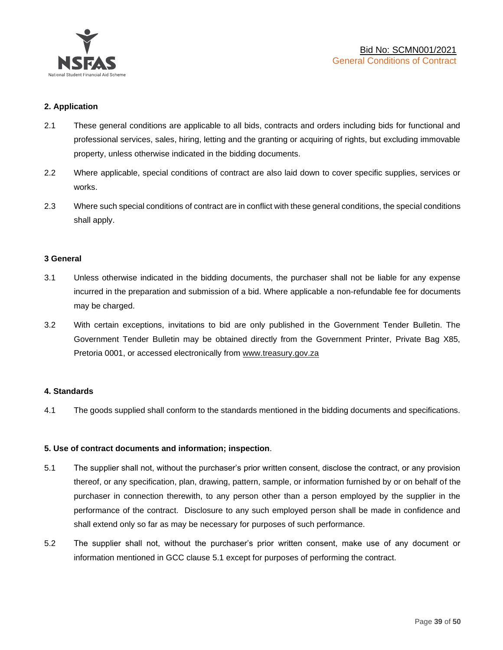

### **2. Application**

- 2.1 These general conditions are applicable to all bids, contracts and orders including bids for functional and professional services, sales, hiring, letting and the granting or acquiring of rights, but excluding immovable property, unless otherwise indicated in the bidding documents.
- 2.2 Where applicable, special conditions of contract are also laid down to cover specific supplies, services or works.
- 2.3 Where such special conditions of contract are in conflict with these general conditions, the special conditions shall apply.

### **3 General**

- 3.1 Unless otherwise indicated in the bidding documents, the purchaser shall not be liable for any expense incurred in the preparation and submission of a bid. Where applicable a non-refundable fee for documents may be charged.
- 3.2 With certain exceptions, invitations to bid are only published in the Government Tender Bulletin. The Government Tender Bulletin may be obtained directly from the Government Printer, Private Bag X85, Pretoria 0001, or accessed electronically from [www.treasury.gov.za](http://www.treasury.gov.za/)

### **4. Standards**

4.1 The goods supplied shall conform to the standards mentioned in the bidding documents and specifications.

### **5. Use of contract documents and information; inspection**.

- 5.1 The supplier shall not, without the purchaser's prior written consent, disclose the contract, or any provision thereof, or any specification, plan, drawing, pattern, sample, or information furnished by or on behalf of the purchaser in connection therewith, to any person other than a person employed by the supplier in the performance of the contract. Disclosure to any such employed person shall be made in confidence and shall extend only so far as may be necessary for purposes of such performance.
- 5.2 The supplier shall not, without the purchaser's prior written consent, make use of any document or information mentioned in GCC clause 5.1 except for purposes of performing the contract.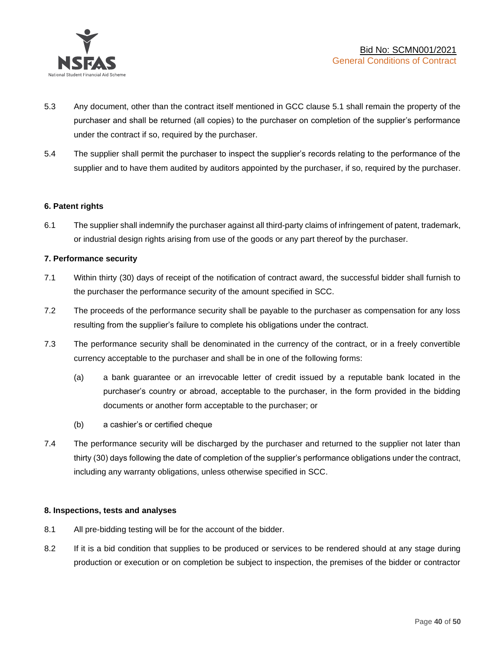

- 5.3 Any document, other than the contract itself mentioned in GCC clause 5.1 shall remain the property of the purchaser and shall be returned (all copies) to the purchaser on completion of the supplier's performance under the contract if so, required by the purchaser.
- 5.4 The supplier shall permit the purchaser to inspect the supplier's records relating to the performance of the supplier and to have them audited by auditors appointed by the purchaser, if so, required by the purchaser.

### **6. Patent rights**

6.1 The supplier shall indemnify the purchaser against all third-party claims of infringement of patent, trademark, or industrial design rights arising from use of the goods or any part thereof by the purchaser.

### **7. Performance security**

- 7.1 Within thirty (30) days of receipt of the notification of contract award, the successful bidder shall furnish to the purchaser the performance security of the amount specified in SCC.
- 7.2 The proceeds of the performance security shall be payable to the purchaser as compensation for any loss resulting from the supplier's failure to complete his obligations under the contract.
- 7.3 The performance security shall be denominated in the currency of the contract, or in a freely convertible currency acceptable to the purchaser and shall be in one of the following forms:
	- (a) a bank guarantee or an irrevocable letter of credit issued by a reputable bank located in the purchaser's country or abroad, acceptable to the purchaser, in the form provided in the bidding documents or another form acceptable to the purchaser; or
	- (b) a cashier's or certified cheque
- 7.4 The performance security will be discharged by the purchaser and returned to the supplier not later than thirty (30) days following the date of completion of the supplier's performance obligations under the contract, including any warranty obligations, unless otherwise specified in SCC.

### **8. Inspections, tests and analyses**

- 8.1 All pre-bidding testing will be for the account of the bidder.
- 8.2 If it is a bid condition that supplies to be produced or services to be rendered should at any stage during production or execution or on completion be subject to inspection, the premises of the bidder or contractor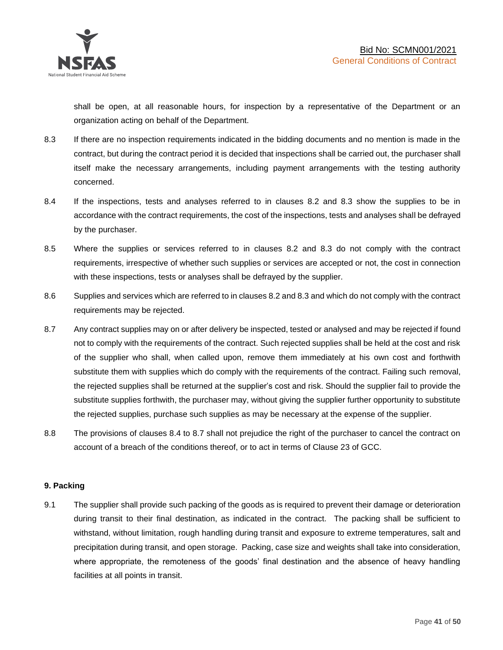shall be open, at all reasonable hours, for inspection by a representative of the Department or an organization acting on behalf of the Department.

- 8.3 If there are no inspection requirements indicated in the bidding documents and no mention is made in the contract, but during the contract period it is decided that inspections shall be carried out, the purchaser shall itself make the necessary arrangements, including payment arrangements with the testing authority concerned.
- 8.4 If the inspections, tests and analyses referred to in clauses 8.2 and 8.3 show the supplies to be in accordance with the contract requirements, the cost of the inspections, tests and analyses shall be defrayed by the purchaser.
- 8.5 Where the supplies or services referred to in clauses 8.2 and 8.3 do not comply with the contract requirements, irrespective of whether such supplies or services are accepted or not, the cost in connection with these inspections, tests or analyses shall be defrayed by the supplier.
- 8.6 Supplies and services which are referred to in clauses 8.2 and 8.3 and which do not comply with the contract requirements may be rejected.
- 8.7 Any contract supplies may on or after delivery be inspected, tested or analysed and may be rejected if found not to comply with the requirements of the contract. Such rejected supplies shall be held at the cost and risk of the supplier who shall, when called upon, remove them immediately at his own cost and forthwith substitute them with supplies which do comply with the requirements of the contract. Failing such removal, the rejected supplies shall be returned at the supplier's cost and risk. Should the supplier fail to provide the substitute supplies forthwith, the purchaser may, without giving the supplier further opportunity to substitute the rejected supplies, purchase such supplies as may be necessary at the expense of the supplier.
- 8.8 The provisions of clauses 8.4 to 8.7 shall not prejudice the right of the purchaser to cancel the contract on account of a breach of the conditions thereof, or to act in terms of Clause 23 of GCC.

### **9. Packing**

9.1 The supplier shall provide such packing of the goods as is required to prevent their damage or deterioration during transit to their final destination, as indicated in the contract. The packing shall be sufficient to withstand, without limitation, rough handling during transit and exposure to extreme temperatures, salt and precipitation during transit, and open storage. Packing, case size and weights shall take into consideration, where appropriate, the remoteness of the goods' final destination and the absence of heavy handling facilities at all points in transit.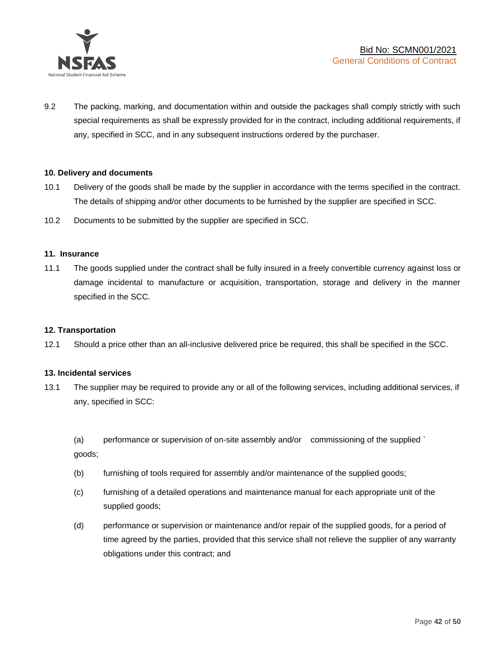

9.2 The packing, marking, and documentation within and outside the packages shall comply strictly with such special requirements as shall be expressly provided for in the contract, including additional requirements, if any, specified in SCC, and in any subsequent instructions ordered by the purchaser.

### **10. Delivery and documents**

- 10.1 Delivery of the goods shall be made by the supplier in accordance with the terms specified in the contract. The details of shipping and/or other documents to be furnished by the supplier are specified in SCC.
- 10.2 Documents to be submitted by the supplier are specified in SCC.

#### **11. Insurance**

11.1 The goods supplied under the contract shall be fully insured in a freely convertible currency against loss or damage incidental to manufacture or acquisition, transportation, storage and delivery in the manner specified in the SCC.

### **12. Transportation**

12.1 Should a price other than an all-inclusive delivered price be required, this shall be specified in the SCC.

### **13. Incidental services**

13.1 The supplier may be required to provide any or all of the following services, including additional services, if any, specified in SCC:

(a) performance or supervision of on-site assembly and/or commissioning of the supplied ` goods;

- (b) furnishing of tools required for assembly and/or maintenance of the supplied goods;
- (c) furnishing of a detailed operations and maintenance manual for each appropriate unit of the supplied goods;
- (d) performance or supervision or maintenance and/or repair of the supplied goods, for a period of time agreed by the parties, provided that this service shall not relieve the supplier of any warranty obligations under this contract; and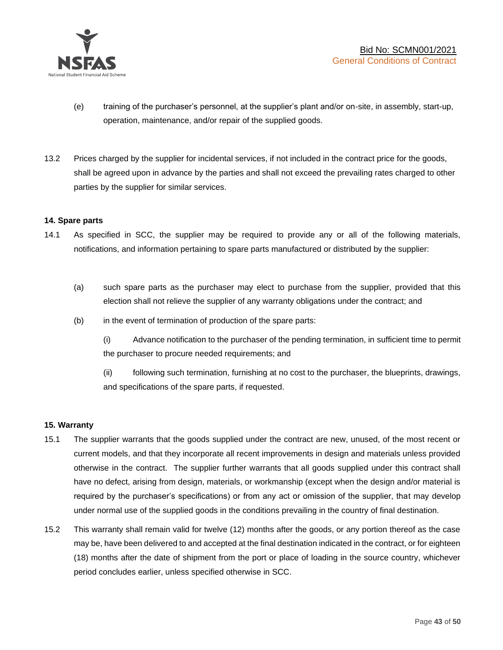

- (e) training of the purchaser's personnel, at the supplier's plant and/or on-site, in assembly, start-up, operation, maintenance, and/or repair of the supplied goods.
- 13.2 Prices charged by the supplier for incidental services, if not included in the contract price for the goods, shall be agreed upon in advance by the parties and shall not exceed the prevailing rates charged to other parties by the supplier for similar services.

### **14. Spare parts**

- 14.1 As specified in SCC, the supplier may be required to provide any or all of the following materials, notifications, and information pertaining to spare parts manufactured or distributed by the supplier:
	- (a) such spare parts as the purchaser may elect to purchase from the supplier, provided that this election shall not relieve the supplier of any warranty obligations under the contract; and
	- (b) in the event of termination of production of the spare parts:

(i) Advance notification to the purchaser of the pending termination, in sufficient time to permit the purchaser to procure needed requirements; and

(ii) following such termination, furnishing at no cost to the purchaser, the blueprints, drawings, and specifications of the spare parts, if requested.

### **15. Warranty**

- 15.1 The supplier warrants that the goods supplied under the contract are new, unused, of the most recent or current models, and that they incorporate all recent improvements in design and materials unless provided otherwise in the contract. The supplier further warrants that all goods supplied under this contract shall have no defect, arising from design, materials, or workmanship (except when the design and/or material is required by the purchaser's specifications) or from any act or omission of the supplier, that may develop under normal use of the supplied goods in the conditions prevailing in the country of final destination.
- 15.2 This warranty shall remain valid for twelve (12) months after the goods, or any portion thereof as the case may be, have been delivered to and accepted at the final destination indicated in the contract, or for eighteen (18) months after the date of shipment from the port or place of loading in the source country, whichever period concludes earlier, unless specified otherwise in SCC.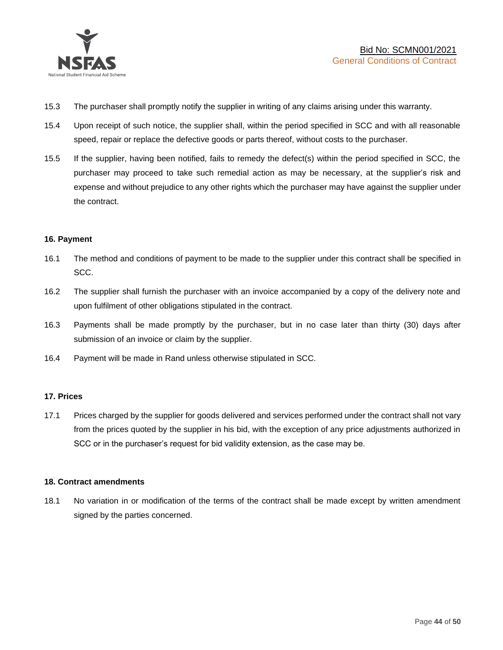

- 15.3 The purchaser shall promptly notify the supplier in writing of any claims arising under this warranty.
- 15.4 Upon receipt of such notice, the supplier shall, within the period specified in SCC and with all reasonable speed, repair or replace the defective goods or parts thereof, without costs to the purchaser.
- 15.5 If the supplier, having been notified, fails to remedy the defect(s) within the period specified in SCC, the purchaser may proceed to take such remedial action as may be necessary, at the supplier's risk and expense and without prejudice to any other rights which the purchaser may have against the supplier under the contract.

### **16. Payment**

- 16.1 The method and conditions of payment to be made to the supplier under this contract shall be specified in SCC.
- 16.2 The supplier shall furnish the purchaser with an invoice accompanied by a copy of the delivery note and upon fulfilment of other obligations stipulated in the contract.
- 16.3 Payments shall be made promptly by the purchaser, but in no case later than thirty (30) days after submission of an invoice or claim by the supplier.
- 16.4 Payment will be made in Rand unless otherwise stipulated in SCC.

### **17. Prices**

17.1 Prices charged by the supplier for goods delivered and services performed under the contract shall not vary from the prices quoted by the supplier in his bid, with the exception of any price adjustments authorized in SCC or in the purchaser's request for bid validity extension, as the case may be.

### **18. Contract amendments**

18.1 No variation in or modification of the terms of the contract shall be made except by written amendment signed by the parties concerned.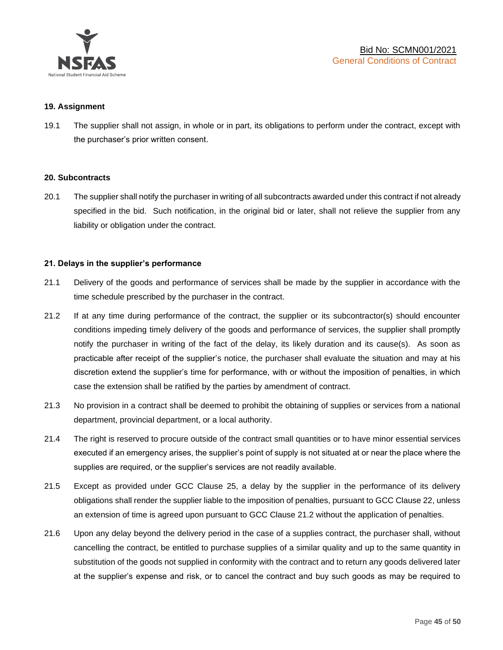

### **19. Assignment**

19.1 The supplier shall not assign, in whole or in part, its obligations to perform under the contract, except with the purchaser's prior written consent.

#### **20. Subcontracts**

20.1 The supplier shall notify the purchaser in writing of all subcontracts awarded under this contract if not already specified in the bid. Such notification, in the original bid or later, shall not relieve the supplier from any liability or obligation under the contract.

### **21. Delays in the supplier's performance**

- 21.1 Delivery of the goods and performance of services shall be made by the supplier in accordance with the time schedule prescribed by the purchaser in the contract.
- 21.2 If at any time during performance of the contract, the supplier or its subcontractor(s) should encounter conditions impeding timely delivery of the goods and performance of services, the supplier shall promptly notify the purchaser in writing of the fact of the delay, its likely duration and its cause(s). As soon as practicable after receipt of the supplier's notice, the purchaser shall evaluate the situation and may at his discretion extend the supplier's time for performance, with or without the imposition of penalties, in which case the extension shall be ratified by the parties by amendment of contract.
- 21.3 No provision in a contract shall be deemed to prohibit the obtaining of supplies or services from a national department, provincial department, or a local authority.
- 21.4 The right is reserved to procure outside of the contract small quantities or to have minor essential services executed if an emergency arises, the supplier's point of supply is not situated at or near the place where the supplies are required, or the supplier's services are not readily available.
- 21.5 Except as provided under GCC Clause 25, a delay by the supplier in the performance of its delivery obligations shall render the supplier liable to the imposition of penalties, pursuant to GCC Clause 22, unless an extension of time is agreed upon pursuant to GCC Clause 21.2 without the application of penalties.
- 21.6 Upon any delay beyond the delivery period in the case of a supplies contract, the purchaser shall, without cancelling the contract, be entitled to purchase supplies of a similar quality and up to the same quantity in substitution of the goods not supplied in conformity with the contract and to return any goods delivered later at the supplier's expense and risk, or to cancel the contract and buy such goods as may be required to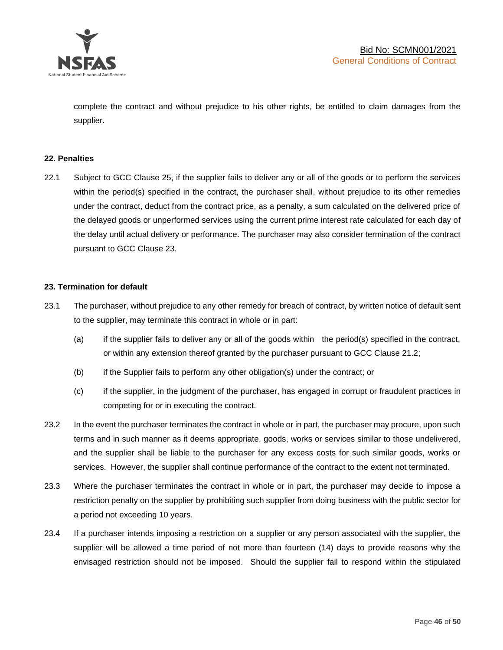

complete the contract and without prejudice to his other rights, be entitled to claim damages from the supplier.

### **22. Penalties**

22.1 Subject to GCC Clause 25, if the supplier fails to deliver any or all of the goods or to perform the services within the period(s) specified in the contract, the purchaser shall, without prejudice to its other remedies under the contract, deduct from the contract price, as a penalty, a sum calculated on the delivered price of the delayed goods or unperformed services using the current prime interest rate calculated for each day of the delay until actual delivery or performance. The purchaser may also consider termination of the contract pursuant to GCC Clause 23.

### **23. Termination for default**

- 23.1 The purchaser, without prejudice to any other remedy for breach of contract, by written notice of default sent to the supplier, may terminate this contract in whole or in part:
	- (a) if the supplier fails to deliver any or all of the goods within the period(s) specified in the contract, or within any extension thereof granted by the purchaser pursuant to GCC Clause 21.2;
	- (b) if the Supplier fails to perform any other obligation(s) under the contract; or
	- (c) if the supplier, in the judgment of the purchaser, has engaged in corrupt or fraudulent practices in competing for or in executing the contract.
- 23.2 In the event the purchaser terminates the contract in whole or in part, the purchaser may procure, upon such terms and in such manner as it deems appropriate, goods, works or services similar to those undelivered, and the supplier shall be liable to the purchaser for any excess costs for such similar goods, works or services. However, the supplier shall continue performance of the contract to the extent not terminated.
- 23.3 Where the purchaser terminates the contract in whole or in part, the purchaser may decide to impose a restriction penalty on the supplier by prohibiting such supplier from doing business with the public sector for a period not exceeding 10 years.
- 23.4 If a purchaser intends imposing a restriction on a supplier or any person associated with the supplier, the supplier will be allowed a time period of not more than fourteen (14) days to provide reasons why the envisaged restriction should not be imposed. Should the supplier fail to respond within the stipulated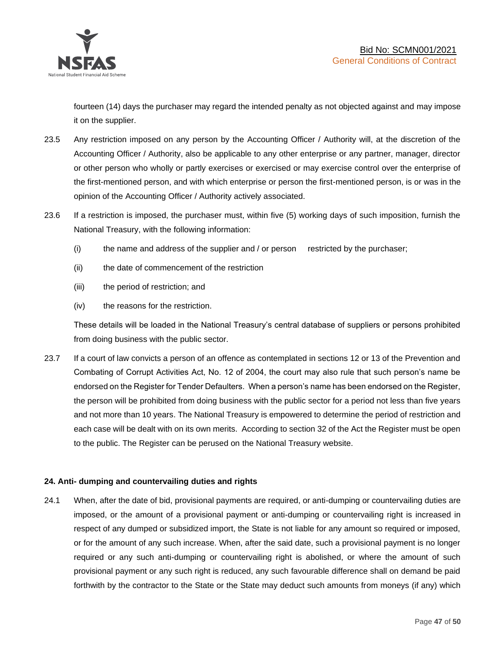

fourteen (14) days the purchaser may regard the intended penalty as not objected against and may impose it on the supplier.

- 23.5 Any restriction imposed on any person by the Accounting Officer / Authority will, at the discretion of the Accounting Officer / Authority, also be applicable to any other enterprise or any partner, manager, director or other person who wholly or partly exercises or exercised or may exercise control over the enterprise of the first-mentioned person, and with which enterprise or person the first-mentioned person, is or was in the opinion of the Accounting Officer / Authority actively associated.
- 23.6 If a restriction is imposed, the purchaser must, within five (5) working days of such imposition, furnish the National Treasury, with the following information:
	- (i) the name and address of the supplier and / or person restricted by the purchaser;
	- (ii) the date of commencement of the restriction
	- (iii) the period of restriction; and
	- (iv) the reasons for the restriction.

These details will be loaded in the National Treasury's central database of suppliers or persons prohibited from doing business with the public sector.

23.7 If a court of law convicts a person of an offence as contemplated in sections 12 or 13 of the Prevention and Combating of Corrupt Activities Act, No. 12 of 2004, the court may also rule that such person's name be endorsed on the Register for Tender Defaulters. When a person's name has been endorsed on the Register, the person will be prohibited from doing business with the public sector for a period not less than five years and not more than 10 years. The National Treasury is empowered to determine the period of restriction and each case will be dealt with on its own merits. According to section 32 of the Act the Register must be open to the public. The Register can be perused on the National Treasury website.

### **24. Anti- dumping and countervailing duties and rights**

24.1 When, after the date of bid, provisional payments are required, or anti-dumping or countervailing duties are imposed, or the amount of a provisional payment or anti-dumping or countervailing right is increased in respect of any dumped or subsidized import, the State is not liable for any amount so required or imposed, or for the amount of any such increase. When, after the said date, such a provisional payment is no longer required or any such anti-dumping or countervailing right is abolished, or where the amount of such provisional payment or any such right is reduced, any such favourable difference shall on demand be paid forthwith by the contractor to the State or the State may deduct such amounts from moneys (if any) which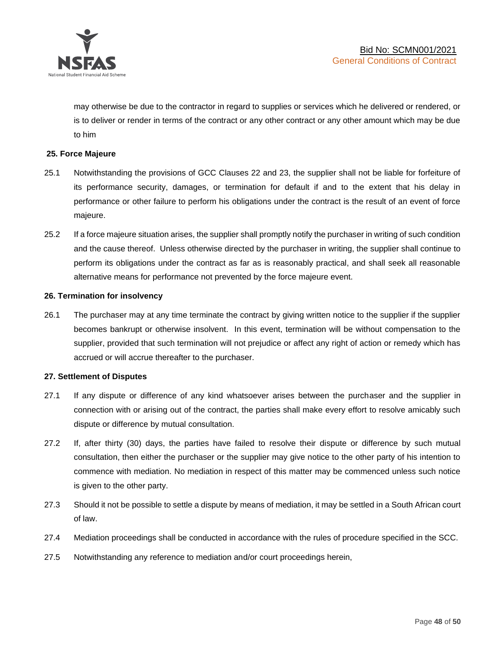

may otherwise be due to the contractor in regard to supplies or services which he delivered or rendered, or is to deliver or render in terms of the contract or any other contract or any other amount which may be due to him

### **25. Force Majeure**

- 25.1 Notwithstanding the provisions of GCC Clauses 22 and 23, the supplier shall not be liable for forfeiture of its performance security, damages, or termination for default if and to the extent that his delay in performance or other failure to perform his obligations under the contract is the result of an event of force majeure.
- 25.2 If a force majeure situation arises, the supplier shall promptly notify the purchaser in writing of such condition and the cause thereof. Unless otherwise directed by the purchaser in writing, the supplier shall continue to perform its obligations under the contract as far as is reasonably practical, and shall seek all reasonable alternative means for performance not prevented by the force majeure event.

#### **26. Termination for insolvency**

26.1 The purchaser may at any time terminate the contract by giving written notice to the supplier if the supplier becomes bankrupt or otherwise insolvent. In this event, termination will be without compensation to the supplier, provided that such termination will not prejudice or affect any right of action or remedy which has accrued or will accrue thereafter to the purchaser.

#### **27. Settlement of Disputes**

- 27.1 If any dispute or difference of any kind whatsoever arises between the purchaser and the supplier in connection with or arising out of the contract, the parties shall make every effort to resolve amicably such dispute or difference by mutual consultation.
- 27.2 If, after thirty (30) days, the parties have failed to resolve their dispute or difference by such mutual consultation, then either the purchaser or the supplier may give notice to the other party of his intention to commence with mediation. No mediation in respect of this matter may be commenced unless such notice is given to the other party.
- 27.3 Should it not be possible to settle a dispute by means of mediation, it may be settled in a South African court of law.
- 27.4 Mediation proceedings shall be conducted in accordance with the rules of procedure specified in the SCC.
- 27.5 Notwithstanding any reference to mediation and/or court proceedings herein,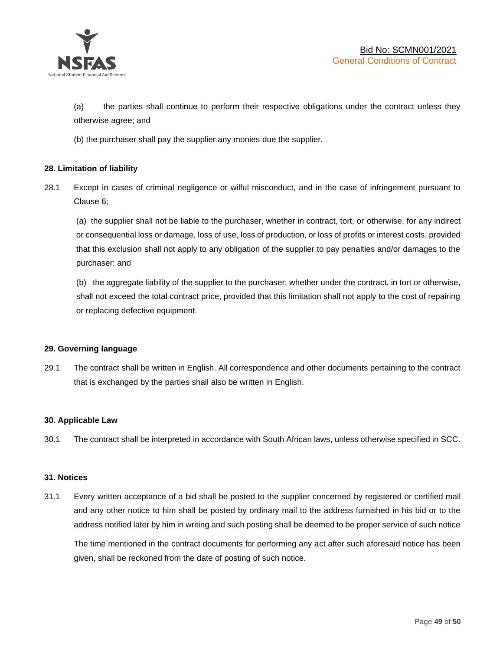

(a) the parties shall continue to perform their respective obligations under the contract unless they otherwise agree; and

(b) the purchaser shall pay the supplier any monies due the supplier.

### **28. Limitation of liability**

28.1 Except in cases of criminal negligence or wilful misconduct, and in the case of infringement pursuant to Clause 6;

(a) the supplier shall not be liable to the purchaser, whether in contract, tort, or otherwise, for any indirect or consequential loss or damage, loss of use, loss of production, or loss of profits or interest costs, provided that this exclusion shall not apply to any obligation of the supplier to pay penalties and/or damages to the purchaser; and

(b) the aggregate liability of the supplier to the purchaser, whether under the contract, in tort or otherwise, shall not exceed the total contract price, provided that this limitation shall not apply to the cost of repairing or replacing defective equipment.

### **29. Governing language**

29.1 The contract shall be written in English. All correspondence and other documents pertaining to the contract that is exchanged by the parties shall also be written in English.

### **30. Applicable Law**

30.1 The contract shall be interpreted in accordance with South African laws, unless otherwise specified in SCC.

### **31. Notices**

31.1 Every written acceptance of a bid shall be posted to the supplier concerned by registered or certified mail and any other notice to him shall be posted by ordinary mail to the address furnished in his bid or to the address notified later by him in writing and such posting shall be deemed to be proper service of such notice

The time mentioned in the contract documents for performing any act after such aforesaid notice has been given, shall be reckoned from the date of posting of such notice.